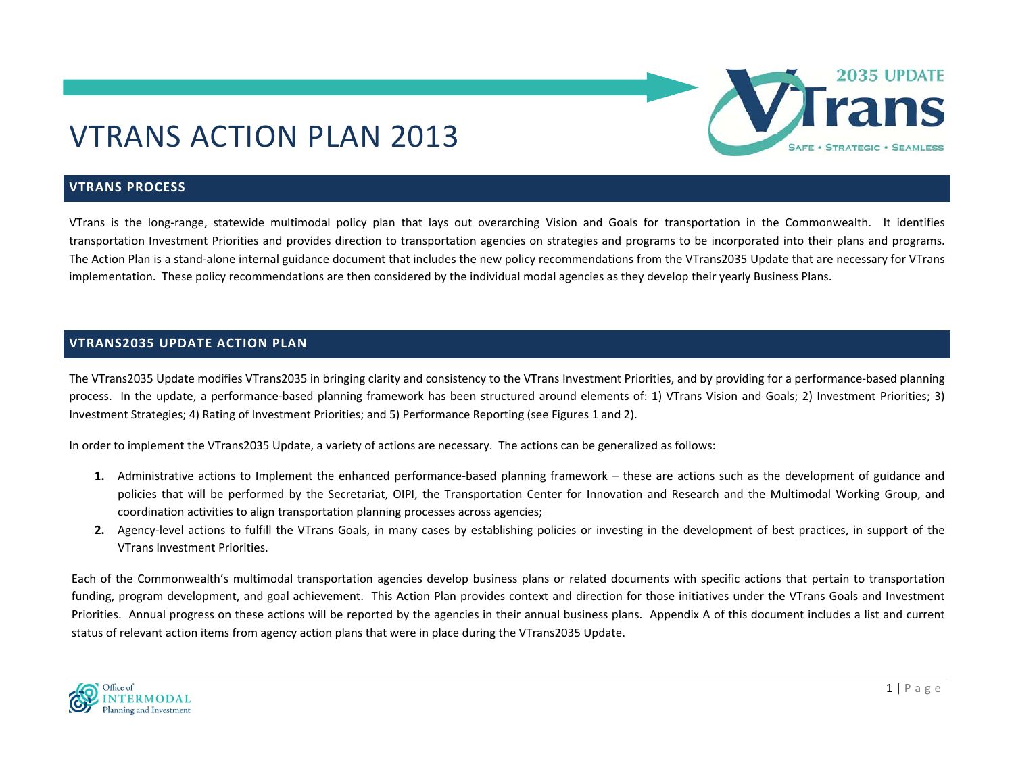# VTRANS ACTION PLAN 2013

#### **VTRANS PROCESS**

VTrans is the long‐range, statewide multimodal policy plan that lays out overarching Vision and Goals for transportation in the Commonwealth. It identifies transportation Investment Priorities and provides direction to transportation agencies on strategies and programs to be incorporated into their plans and programs. The Action Plan is <sup>a</sup> stand‐alone internal guidance document that includes the new policy recommendations from the VTrans2035 Update that are necessary for VTrans implementation. These policy recommendations are then considered by the individual modal agencies as they develop their yearly Business Plans.

#### **VTRANS2035 UPDATE ACTION PLAN**

The VTrans2035 Update modifies VTrans2035 in bringing clarity and consistency to the VTrans Investment Priorities, and by providing for <sup>a</sup> performance‐based planning process. In the update, <sup>a</sup> performance‐based planning framework has been structured around elements of: 1) VTrans Vision and Goals; 2) Investment Priorities; 3) Investment Strategies; 4) Rating of Investment Priorities; and 5) Performance Reporting (see Figures 1 and 2).

In order to implement the VTrans2035 Update, <sup>a</sup> variety of actions are necessary. The actions can be generalized as follows:

- **1.** Administrative actions to Implement the enhanced performance‐based planning framework these are actions such as the development of guidance and policies that will be performed by the Secretariat, OIPI, the Transportation Center for Innovation and Research and the Multimodal Working Group, and coordination activities to align transportation planning processes across agencies;
- **2.** Agency‐level actions to fulfill the VTrans Goals, in many cases by establishing policies or investing in the development of best practices, in support of the VTrans Investment Priorities.

Each of the Commonwealth's multimodal transportation agencies develop business plans or related documents with specific actions that pertain to transportation funding, program development, and goal achievement. This Action Plan provides context and direction for those initiatives under the VTrans Goals and Investment Priorities. Annual progress on these actions will be reported by the agencies in their annual business plans. Appendix A of this document includes <sup>a</sup> list and current status of relevant action items from agency action plans that were in place during the VTrans2035 Update.



2035 UPDATE

*Irans* 

**SAFE · STRATEGIC · SEAMLESS**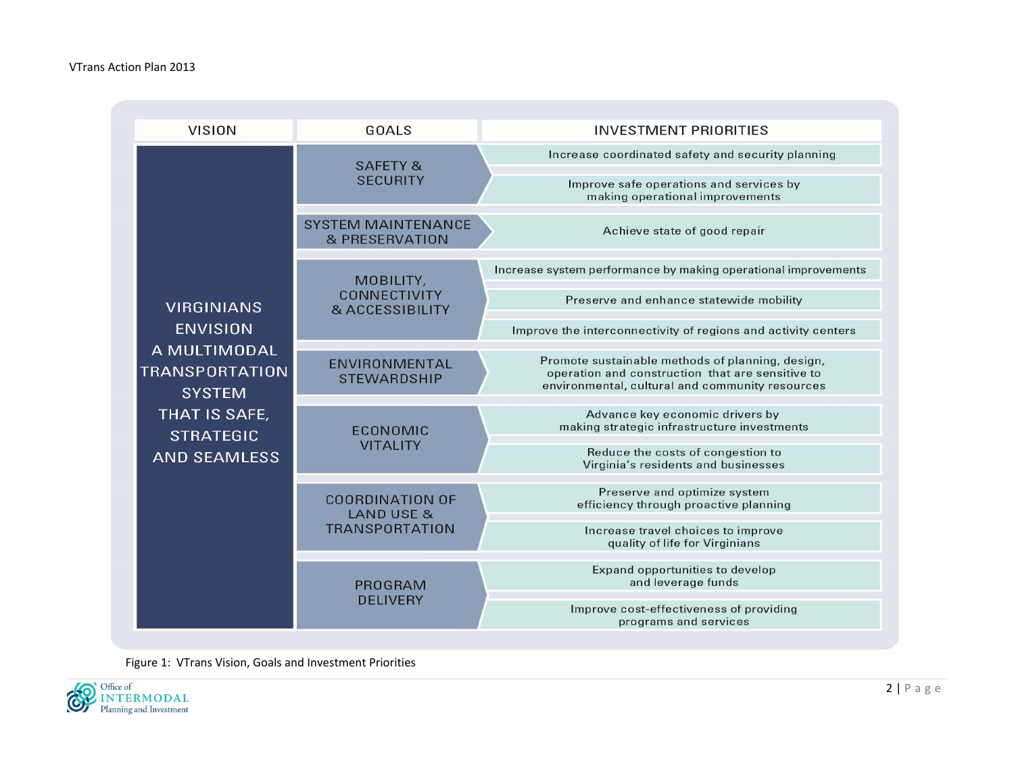| <b>VISION</b>                                                                               | GOALS                                       | <b>INVESTMENT PRIORITIES</b>                                                                                                                            |
|---------------------------------------------------------------------------------------------|---------------------------------------------|---------------------------------------------------------------------------------------------------------------------------------------------------------|
|                                                                                             | <b>SAFETY &amp;</b>                         | Increase coordinated safety and security planning                                                                                                       |
|                                                                                             | <b>SECURITY</b>                             | Improve safe operations and services by<br>making operational improvements                                                                              |
|                                                                                             | <b>SYSTEM MAINTENANCE</b><br>& PRESERVATION | Achieve state of good repair                                                                                                                            |
|                                                                                             | MOBILITY,                                   | Increase system performance by making operational improvements                                                                                          |
| <b>VIRGINIANS</b>                                                                           | CONNECTIVITY<br>& ACCESSIBILITY             | Preserve and enhance statewide mobility                                                                                                                 |
| <b>ENVISION</b>                                                                             |                                             | Improve the interconnectivity of regions and activity centers                                                                                           |
| A MULTIMODAL<br><b>TRANSPORTATION</b><br><b>SYSTEM</b><br>THAT IS SAFE,<br><b>STRATEGIC</b> | ENVIRONMENTAL<br><b>STEWARDSHIP</b>         | Promote sustainable methods of planning, design,<br>operation and construction that are sensitive to<br>environmental, cultural and community resources |
|                                                                                             | ECONOMIC                                    | Advance key economic drivers by<br>making strategic infrastructure investments                                                                          |
| <b>AND SEAMLESS</b>                                                                         | <b>VITALITY</b>                             | Reduce the costs of congestion to<br>Virginia's residents and businesses                                                                                |
|                                                                                             | <b>COORDINATION OF</b><br>LAND USE &        | Preserve and optimize system<br>efficiency through proactive planning                                                                                   |
|                                                                                             | <b>TRANSPORTATION</b>                       | Increase travel choices to improve<br>quality of life for Virginians                                                                                    |
|                                                                                             | PROGRAM                                     | Expand opportunities to develop<br>and leverage funds                                                                                                   |
|                                                                                             | <b>DELIVERY</b>                             | Improve cost-effectiveness of providing<br>programs and services                                                                                        |

Figure 1: VTrans Vision, Goals and Investment Priorities

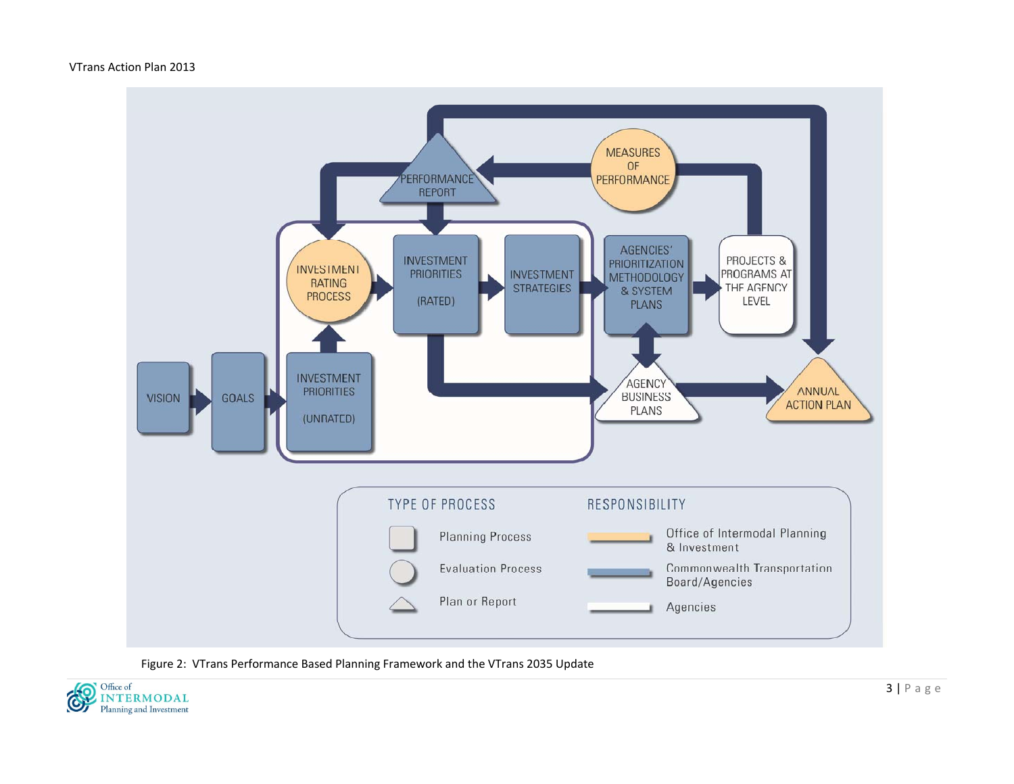#### VTrans Action Plan 2013



Figure 2: VTrans Performance Based Planning Framework and the VTrans 2035 Update

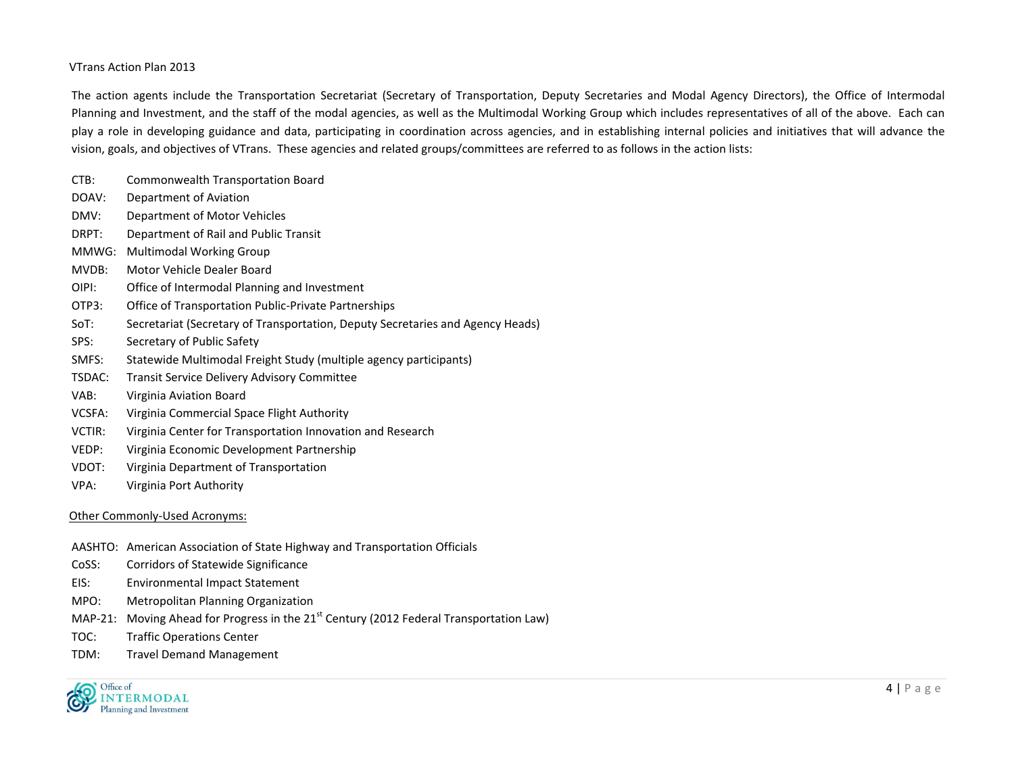#### VTrans Action Plan 2013

The action agents include the Transportation Secretariat (Secretary of Transportation, Deputy Secretaries and Modal Agency Directors), the Office of Intermodal Planning and Investment, and the staff of the modal agencies, as well as the Multimodal Working Group which includes representatives of all of the above. Each can play <sup>a</sup> role in developing guidance and data, participating in coordination across agencies, and in establishing internal policies and initiatives that will advance the vision, goals, and objectives of VTrans. These agencies and related groups/committees are referred to as follows in the action lists:

- CTB:Commonwealth Transportation Board
- DOAV:Department of Aviation
- DMV:Department of Motor Vehicles
- DRPT:Department of Rail and Public Transit
- MMWG: Multimodal Working Group
- MVDB:Motor Vehicle Dealer Board
- OIPI:Office of Intermodal Planning and Investment
- OTP3:Office of Transportation Public‐Private Partnerships
- SoT:Secretariat (Secretary of Transportation, Deputy Secretaries and Agency Heads)
- SPS:Secretary of Public Safety
- SMFS:Statewide Multimodal Freight Study (multiple agency participants)
- TSDAC:Transit Service Delivery Advisory Committee
- VAB:Virginia Aviation Board
- VCSFA:Virginia Commercial Space Flight Authority
- VCTIR:Virginia Center for Transportation Innovation and Research
- VEDP:Virginia Economic Development Partnership
- VDOT:Virginia Department of Transportation
- VPA:Virginia Port Authority

#### Other Commonly‐Used Acronyms:

- AASHTO: American Association of State Highway and Transportation Officials
- CoSS:Corridors of Statewide Significance
- EIS:Environmental Impact Statement
- MPO:Metropolitan Planning Organization
- MAP-21: Moving Ahead for Progress in the 21<sup>st</sup> Century (2012 Federal Transportation Law)
- TOC:Traffic Operations Center
- TDM:Travel Demand Management

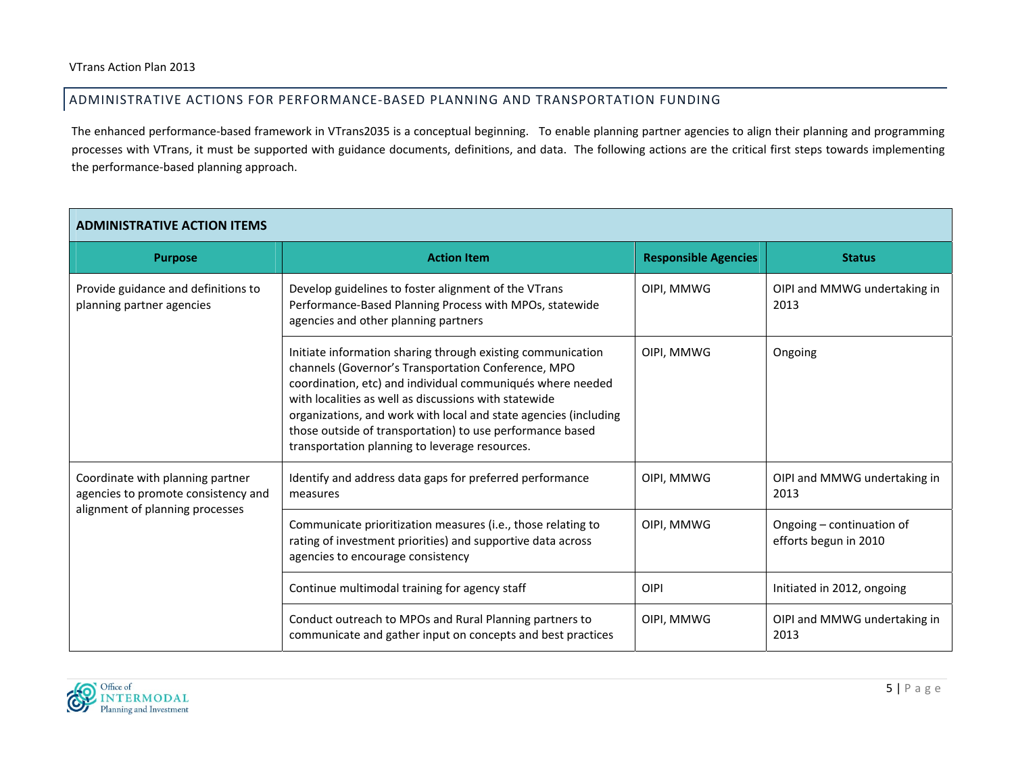## ADMINISTRATIVE ACTIONS FOR PERFORMANCE‐BASED PLANNING AND TRANSPORTATION FUNDING

The enhanced performance‐based framework in VTrans2035 is <sup>a</sup> conceptual beginning. To enable planning partner agencies to align their planning and programming processes with VTrans, it must be supported with guidance documents, definitions, and data. The following actions are the critical first steps towards implementing the performance‐based planning approach.

| <b>ADMINISTRATIVE ACTION ITEMS</b>                                                                         |                                                                                                                                                                                                                                                                                                                                                                                                                              |                             |                                                    |  |
|------------------------------------------------------------------------------------------------------------|------------------------------------------------------------------------------------------------------------------------------------------------------------------------------------------------------------------------------------------------------------------------------------------------------------------------------------------------------------------------------------------------------------------------------|-----------------------------|----------------------------------------------------|--|
| <b>Purpose</b>                                                                                             | <b>Action Item</b>                                                                                                                                                                                                                                                                                                                                                                                                           | <b>Responsible Agencies</b> | <b>Status</b>                                      |  |
| Provide guidance and definitions to<br>planning partner agencies                                           | Develop guidelines to foster alignment of the VTrans<br>Performance-Based Planning Process with MPOs, statewide<br>agencies and other planning partners                                                                                                                                                                                                                                                                      | OIPI, MMWG                  | OIPI and MMWG undertaking in<br>2013               |  |
|                                                                                                            | Initiate information sharing through existing communication<br>channels (Governor's Transportation Conference, MPO<br>coordination, etc) and individual communiqués where needed<br>with localities as well as discussions with statewide<br>organizations, and work with local and state agencies (including<br>those outside of transportation) to use performance based<br>transportation planning to leverage resources. | OIPI, MMWG                  | Ongoing                                            |  |
| Coordinate with planning partner<br>agencies to promote consistency and<br>alignment of planning processes | Identify and address data gaps for preferred performance<br>measures                                                                                                                                                                                                                                                                                                                                                         | OIPI, MMWG                  | OIPI and MMWG undertaking in<br>2013               |  |
|                                                                                                            | Communicate prioritization measures (i.e., those relating to<br>rating of investment priorities) and supportive data across<br>agencies to encourage consistency                                                                                                                                                                                                                                                             | OIPI, MMWG                  | Ongoing – continuation of<br>efforts begun in 2010 |  |
|                                                                                                            | Continue multimodal training for agency staff                                                                                                                                                                                                                                                                                                                                                                                | OIPI                        | Initiated in 2012, ongoing                         |  |
|                                                                                                            | Conduct outreach to MPOs and Rural Planning partners to<br>communicate and gather input on concepts and best practices                                                                                                                                                                                                                                                                                                       | OIPI, MMWG                  | OIPI and MMWG undertaking in<br>2013               |  |

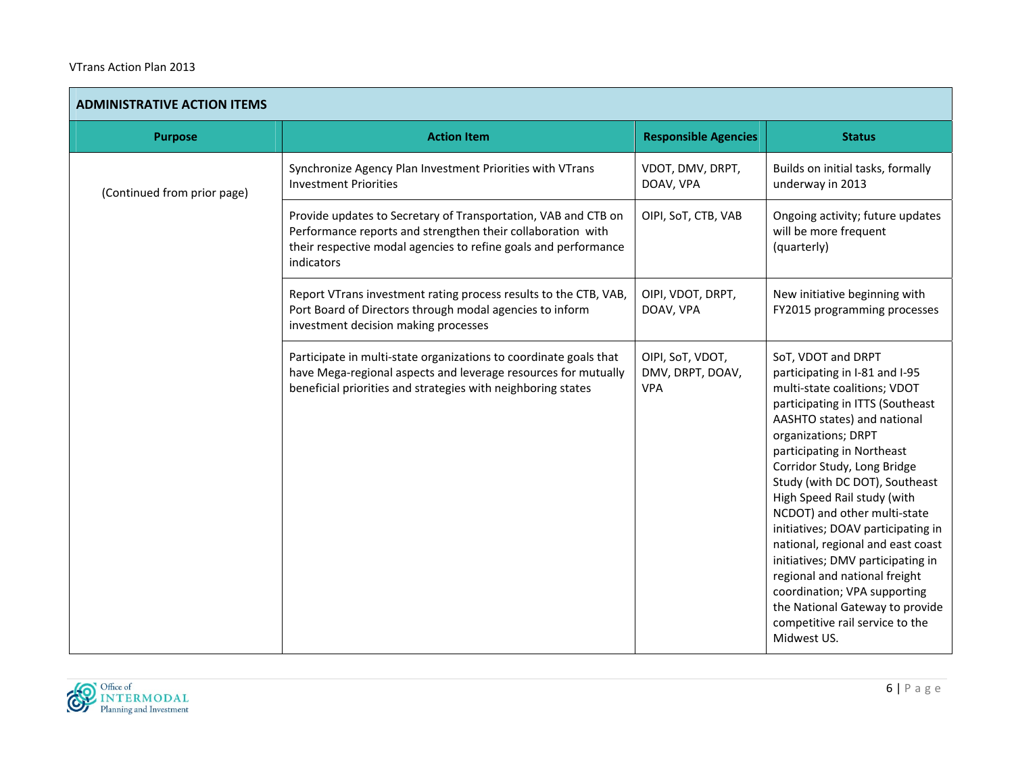| <b>ADMINISTRATIVE ACTION ITEMS</b> |                                                                                                                                                                                                                |                                                    |                                                                                                                                                                                                                                                                                                                                                                                                                                                                                                                                                                                                                    |
|------------------------------------|----------------------------------------------------------------------------------------------------------------------------------------------------------------------------------------------------------------|----------------------------------------------------|--------------------------------------------------------------------------------------------------------------------------------------------------------------------------------------------------------------------------------------------------------------------------------------------------------------------------------------------------------------------------------------------------------------------------------------------------------------------------------------------------------------------------------------------------------------------------------------------------------------------|
| <b>Purpose</b>                     | <b>Action Item</b>                                                                                                                                                                                             | <b>Responsible Agencies</b>                        | <b>Status</b>                                                                                                                                                                                                                                                                                                                                                                                                                                                                                                                                                                                                      |
| (Continued from prior page)        | Synchronize Agency Plan Investment Priorities with VTrans<br><b>Investment Priorities</b>                                                                                                                      | VDOT, DMV, DRPT,<br>DOAV, VPA                      | Builds on initial tasks, formally<br>underway in 2013                                                                                                                                                                                                                                                                                                                                                                                                                                                                                                                                                              |
|                                    | Provide updates to Secretary of Transportation, VAB and CTB on<br>Performance reports and strengthen their collaboration with<br>their respective modal agencies to refine goals and performance<br>indicators | OIPI, SoT, CTB, VAB                                | Ongoing activity; future updates<br>will be more frequent<br>(quarterly)                                                                                                                                                                                                                                                                                                                                                                                                                                                                                                                                           |
|                                    | Report VTrans investment rating process results to the CTB, VAB,<br>Port Board of Directors through modal agencies to inform<br>investment decision making processes                                           | OIPI, VDOT, DRPT,<br>DOAV, VPA                     | New initiative beginning with<br>FY2015 programming processes                                                                                                                                                                                                                                                                                                                                                                                                                                                                                                                                                      |
|                                    | Participate in multi-state organizations to coordinate goals that<br>have Mega-regional aspects and leverage resources for mutually<br>beneficial priorities and strategies with neighboring states            | OIPI, SoT, VDOT,<br>DMV, DRPT, DOAV,<br><b>VPA</b> | SoT, VDOT and DRPT<br>participating in I-81 and I-95<br>multi-state coalitions; VDOT<br>participating in ITTS (Southeast<br>AASHTO states) and national<br>organizations; DRPT<br>participating in Northeast<br>Corridor Study, Long Bridge<br>Study (with DC DOT), Southeast<br>High Speed Rail study (with<br>NCDOT) and other multi-state<br>initiatives; DOAV participating in<br>national, regional and east coast<br>initiatives; DMV participating in<br>regional and national freight<br>coordination; VPA supporting<br>the National Gateway to provide<br>competitive rail service to the<br>Midwest US. |

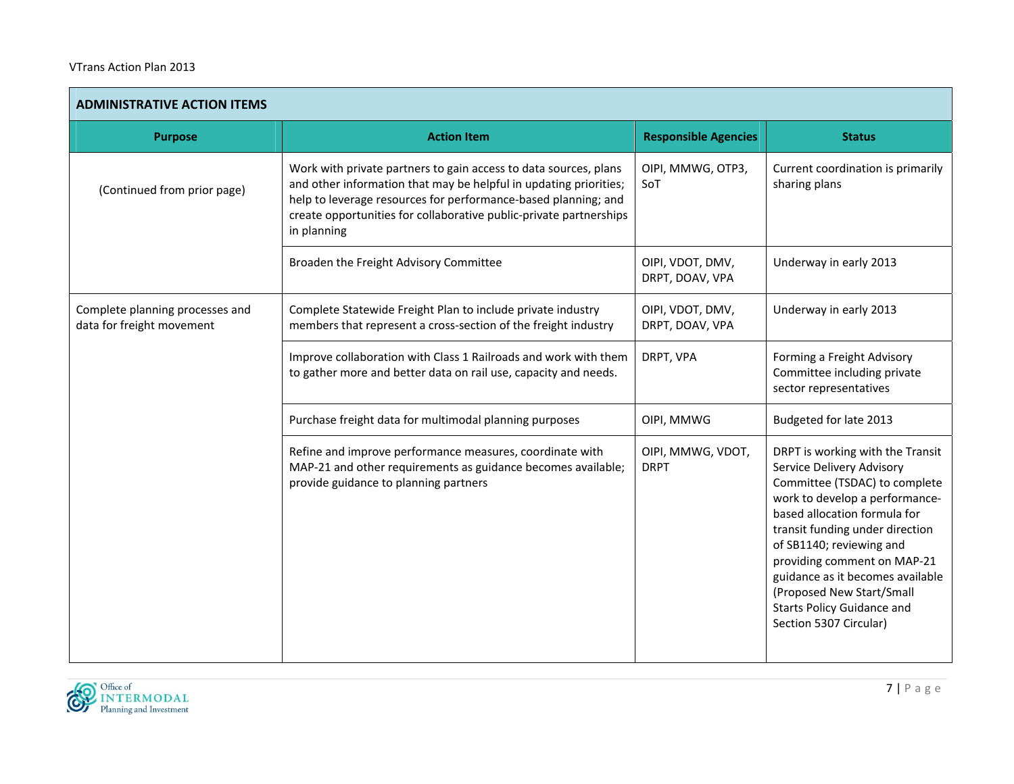| <b>ADMINISTRATIVE ACTION ITEMS</b>                           |                                                                                                                                                                                                                                                                                              |                                     |                                                                                                                                                                                                                                                                                                                                                                                                |
|--------------------------------------------------------------|----------------------------------------------------------------------------------------------------------------------------------------------------------------------------------------------------------------------------------------------------------------------------------------------|-------------------------------------|------------------------------------------------------------------------------------------------------------------------------------------------------------------------------------------------------------------------------------------------------------------------------------------------------------------------------------------------------------------------------------------------|
| <b>Purpose</b>                                               | <b>Action Item</b>                                                                                                                                                                                                                                                                           | <b>Responsible Agencies</b>         | <b>Status</b>                                                                                                                                                                                                                                                                                                                                                                                  |
| (Continued from prior page)                                  | Work with private partners to gain access to data sources, plans<br>and other information that may be helpful in updating priorities;<br>help to leverage resources for performance-based planning; and<br>create opportunities for collaborative public-private partnerships<br>in planning | OIPI, MMWG, OTP3,<br>SoT            | Current coordination is primarily<br>sharing plans                                                                                                                                                                                                                                                                                                                                             |
|                                                              | Broaden the Freight Advisory Committee                                                                                                                                                                                                                                                       | OIPI, VDOT, DMV,<br>DRPT, DOAV, VPA | Underway in early 2013                                                                                                                                                                                                                                                                                                                                                                         |
| Complete planning processes and<br>data for freight movement | Complete Statewide Freight Plan to include private industry<br>members that represent a cross-section of the freight industry                                                                                                                                                                | OIPI, VDOT, DMV,<br>DRPT, DOAV, VPA | Underway in early 2013                                                                                                                                                                                                                                                                                                                                                                         |
|                                                              | Improve collaboration with Class 1 Railroads and work with them<br>to gather more and better data on rail use, capacity and needs.                                                                                                                                                           | DRPT, VPA                           | Forming a Freight Advisory<br>Committee including private<br>sector representatives                                                                                                                                                                                                                                                                                                            |
|                                                              | Purchase freight data for multimodal planning purposes                                                                                                                                                                                                                                       | OIPI, MMWG                          | Budgeted for late 2013                                                                                                                                                                                                                                                                                                                                                                         |
|                                                              | Refine and improve performance measures, coordinate with<br>MAP-21 and other requirements as guidance becomes available;<br>provide guidance to planning partners                                                                                                                            | OIPI, MMWG, VDOT,<br><b>DRPT</b>    | DRPT is working with the Transit<br>Service Delivery Advisory<br>Committee (TSDAC) to complete<br>work to develop a performance-<br>based allocation formula for<br>transit funding under direction<br>of SB1140; reviewing and<br>providing comment on MAP-21<br>guidance as it becomes available<br>(Proposed New Start/Small<br><b>Starts Policy Guidance and</b><br>Section 5307 Circular) |

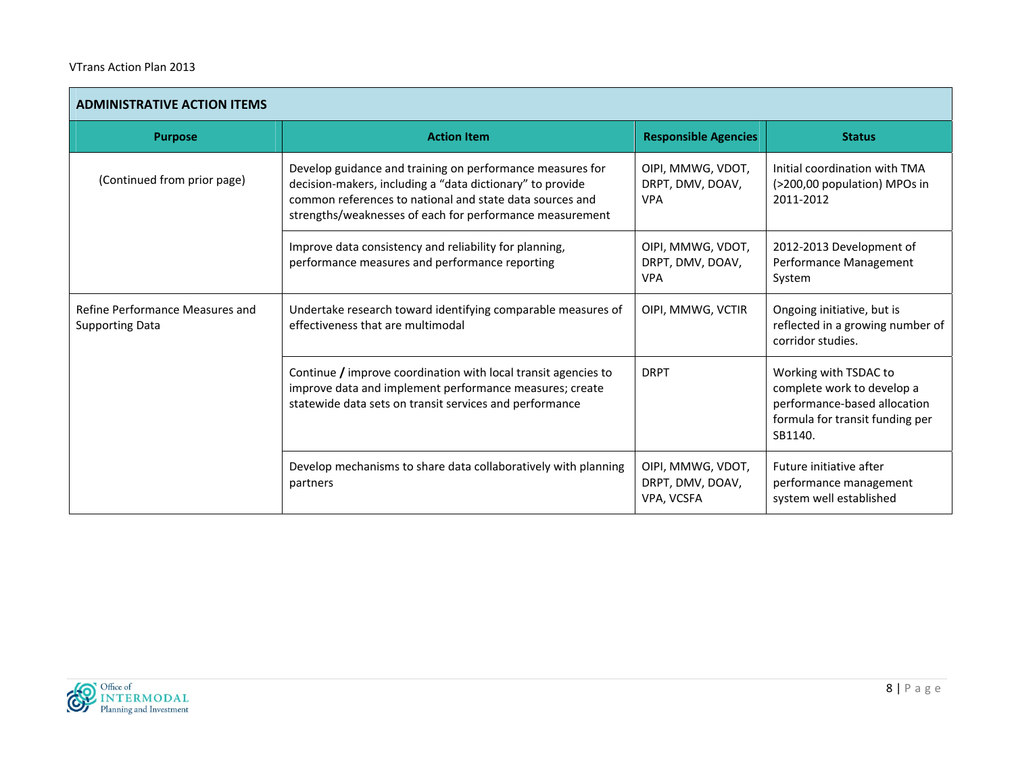| <b>ADMINISTRATIVE ACTION ITEMS</b>                        |                                                                                                                                                                                                                                                |                                                     |                                                                                                                                   |  |
|-----------------------------------------------------------|------------------------------------------------------------------------------------------------------------------------------------------------------------------------------------------------------------------------------------------------|-----------------------------------------------------|-----------------------------------------------------------------------------------------------------------------------------------|--|
| <b>Purpose</b>                                            | <b>Action Item</b>                                                                                                                                                                                                                             | <b>Responsible Agencies</b>                         | <b>Status</b>                                                                                                                     |  |
| (Continued from prior page)                               | Develop guidance and training on performance measures for<br>decision-makers, including a "data dictionary" to provide<br>common references to national and state data sources and<br>strengths/weaknesses of each for performance measurement | OIPI, MMWG, VDOT,<br>DRPT, DMV, DOAV,<br><b>VPA</b> | Initial coordination with TMA<br>(>200,00 population) MPOs in<br>2011-2012                                                        |  |
|                                                           | Improve data consistency and reliability for planning,<br>performance measures and performance reporting                                                                                                                                       | OIPI, MMWG, VDOT,<br>DRPT, DMV, DOAV,<br><b>VPA</b> | 2012-2013 Development of<br>Performance Management<br>System                                                                      |  |
| Refine Performance Measures and<br><b>Supporting Data</b> | Undertake research toward identifying comparable measures of<br>effectiveness that are multimodal                                                                                                                                              | OIPI, MMWG, VCTIR                                   | Ongoing initiative, but is<br>reflected in a growing number of<br>corridor studies.                                               |  |
|                                                           | Continue / improve coordination with local transit agencies to<br>improve data and implement performance measures; create<br>statewide data sets on transit services and performance                                                           | <b>DRPT</b>                                         | Working with TSDAC to<br>complete work to develop a<br>performance-based allocation<br>formula for transit funding per<br>SB1140. |  |
|                                                           | Develop mechanisms to share data collaboratively with planning<br>partners                                                                                                                                                                     | OIPI, MMWG, VDOT,<br>DRPT, DMV, DOAV,<br>VPA, VCSFA | Future initiative after<br>performance management<br>system well established                                                      |  |

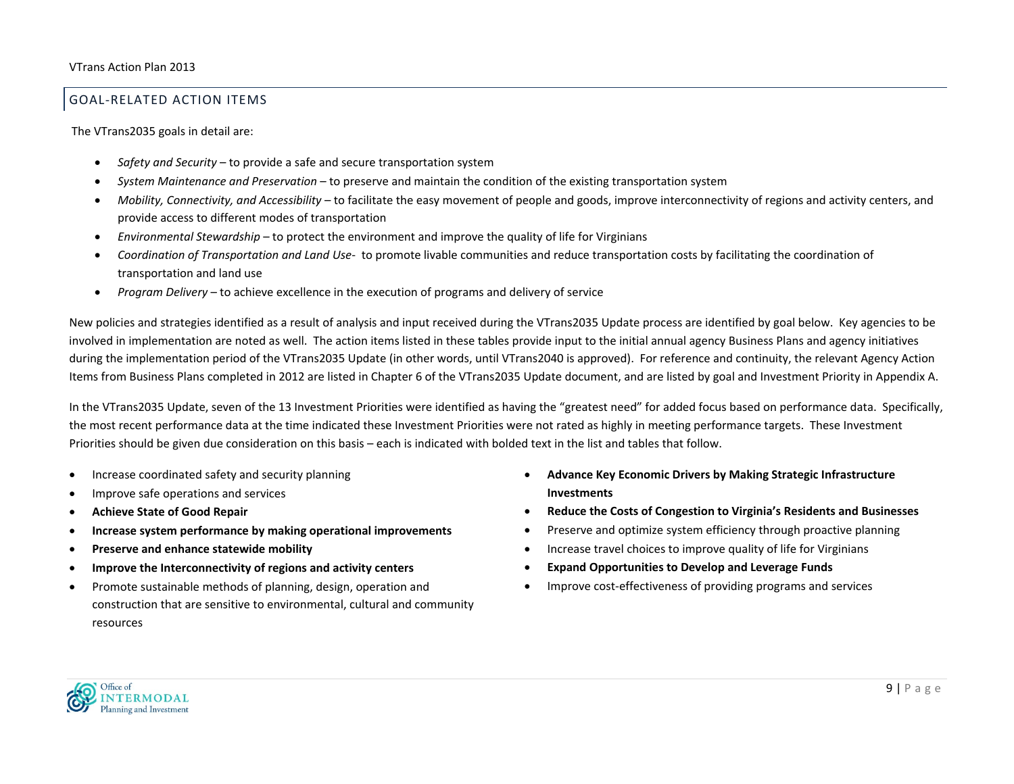# GOAL‐RELATED ACTION ITEMS

The VTrans2035 goals in detail are:

- $\bullet$ *Safety and Security* – to provide <sup>a</sup> safe and secure transportation system
- . *System Maintenance and Preservation* – to preserve and maintain the condition of the existing transportation system
- $\bullet$  *Mobility, Connectivity, and Accessibility* – to facilitate the easy movement of people and goods, improve interconnectivity of regions and activity centers, and provide access to different modes of transportation
- $\bullet$ *Environmental Stewardship* – to protect the environment and improve the quality of life for Virginians
- . ● Coordination of *Transportation and Land Use*-to promote livable communities and reduce transportation costs by facilitating the coordination of transportation and land use
- $\bullet$ *Program Delivery* – to achieve excellence in the execution of programs and delivery of service

New policies and strategies identified as <sup>a</sup> result of analysis and input received during the VTrans2035 Update process are identified by goal below. Key agencies to be involved in implementation are noted as well. The action items listed in these tables provide input to the initial annual agency Business Plans and agency initiatives during the implementation period of the VTrans2035 Update (in other words, until VTrans2040 is approved). For reference and continuity, the relevant Agency Action Items from Business Plans completed in 2012 are listed in Chapter 6 of the VTrans2035 Update document, and are listed by goal and Investment Priority in Appendix A.

In the VTrans2035 Update, seven of the 13 Investment Priorities were identified as having the "greatest need" for added focus based on performance data. Specifically, the most recent performance data at the time indicated these Investment Priorities were not rated as highly in meeting performance targets. These Investment Priorities should be given due consideration on this basis – each is indicated with bolded text in the list and tables that follow.

- $\bullet$ • Increase coordinated safety and security planning
- e Improve safe operations and services
- **Achieve State of Good Repair**
- $\bullet$ **Increase system performance by making operational improvements**
- $\bullet$ **Preserve and enhance statewide mobility**
- $\bullet$ **Improve the Interconnectivity of regions and activity centers**
- 0 Promote sustainable methods of planning, design, operation and construction that are sensitive to environmental, cultural and community resources
- 0 **Advance Key Economic Drivers by Making Strategic Infrastructure Investments**
- 0 **Reduce the Costs of Congestion to Virginia's Residents and Businesses**
- 0 • Preserve and optimize system efficiency through proactive planning
- 0 • Increase travel choices to improve quality of life for Virginians
- e **Expand Opportunities to Develop and Leverage Funds**
- c Improve cost‐effectiveness of providing programs and services

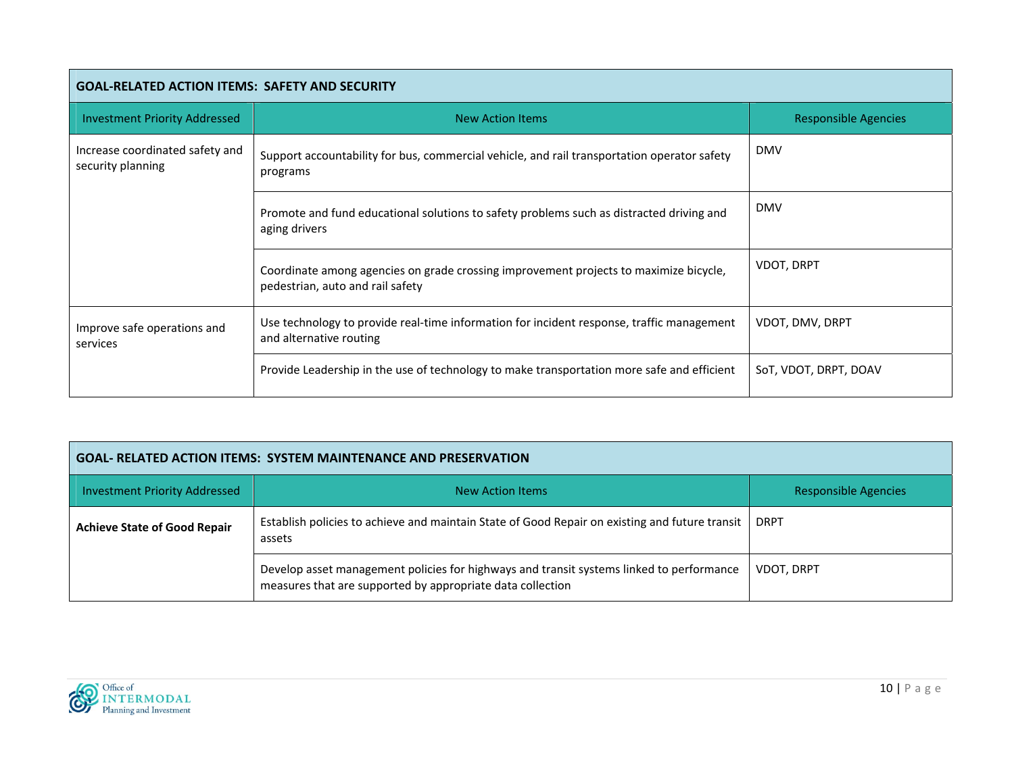| <b>GOAL-RELATED ACTION ITEMS: SAFETY AND SECURITY</b> |                                                                                                                           |                             |  |
|-------------------------------------------------------|---------------------------------------------------------------------------------------------------------------------------|-----------------------------|--|
| <b>Investment Priority Addressed</b>                  | <b>New Action Items</b>                                                                                                   | <b>Responsible Agencies</b> |  |
| Increase coordinated safety and<br>security planning  | Support accountability for bus, commercial vehicle, and rail transportation operator safety<br>programs                   | <b>DMV</b>                  |  |
|                                                       | Promote and fund educational solutions to safety problems such as distracted driving and<br>aging drivers                 | <b>DMV</b>                  |  |
|                                                       | Coordinate among agencies on grade crossing improvement projects to maximize bicycle,<br>pedestrian, auto and rail safety | VDOT, DRPT                  |  |
| Improve safe operations and<br>services               | Use technology to provide real-time information for incident response, traffic management<br>and alternative routing      | VDOT, DMV, DRPT             |  |
|                                                       | Provide Leadership in the use of technology to make transportation more safe and efficient                                | SoT, VDOT, DRPT, DOAV       |  |

| <b>GOAL- RELATED ACTION ITEMS: SYSTEM MAINTENANCE AND PRESERVATION</b> |                                                                                                                                                        |                   |  |
|------------------------------------------------------------------------|--------------------------------------------------------------------------------------------------------------------------------------------------------|-------------------|--|
| <b>Investment Priority Addressed</b>                                   | <b>Responsible Agencies</b><br><b>New Action Items</b>                                                                                                 |                   |  |
| <b>Achieve State of Good Repair</b>                                    | Establish policies to achieve and maintain State of Good Repair on existing and future transit<br>assets                                               | <b>DRPT</b>       |  |
|                                                                        | Develop asset management policies for highways and transit systems linked to performance<br>measures that are supported by appropriate data collection | <b>VDOT, DRPT</b> |  |

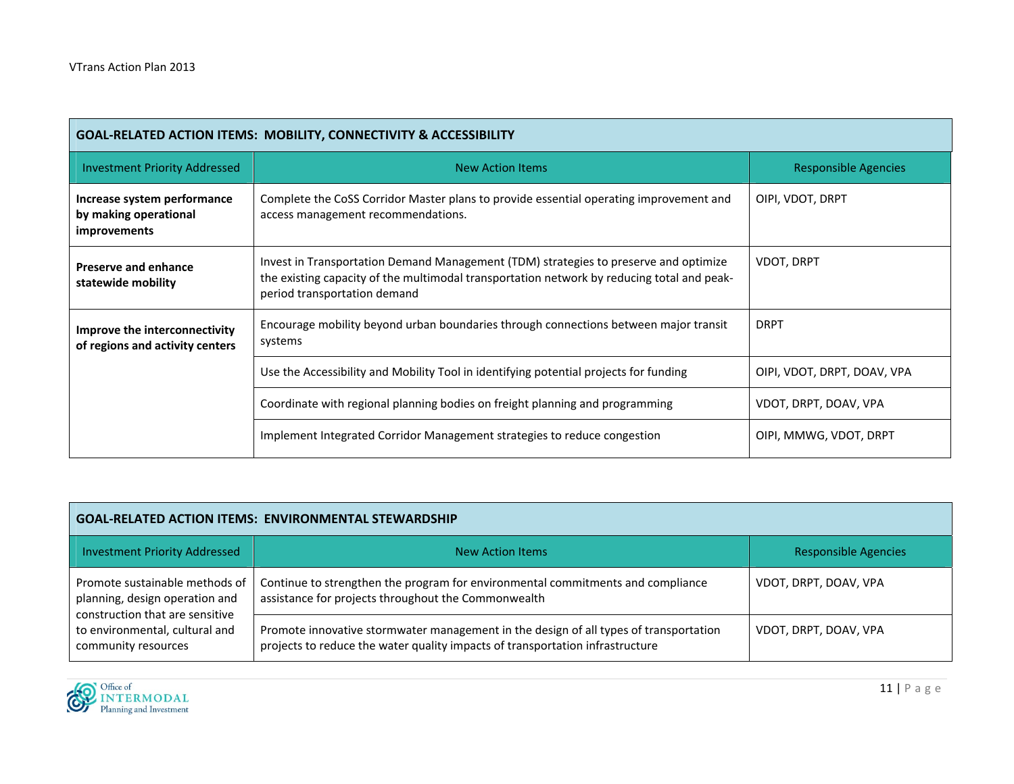| <b>GOAL-RELATED ACTION ITEMS: MOBILITY, CONNECTIVITY &amp; ACCESSIBILITY</b> |                                                                                                                                                                                                                    |                             |  |
|------------------------------------------------------------------------------|--------------------------------------------------------------------------------------------------------------------------------------------------------------------------------------------------------------------|-----------------------------|--|
| <b>Investment Priority Addressed</b>                                         | New Action Items                                                                                                                                                                                                   | Responsible Agencies        |  |
| Increase system performance<br>by making operational<br>improvements         | Complete the CoSS Corridor Master plans to provide essential operating improvement and<br>access management recommendations.                                                                                       | OIPI, VDOT, DRPT            |  |
| <b>Preserve and enhance</b><br>statewide mobility                            | Invest in Transportation Demand Management (TDM) strategies to preserve and optimize<br>the existing capacity of the multimodal transportation network by reducing total and peak-<br>period transportation demand | <b>VDOT, DRPT</b>           |  |
| Improve the interconnectivity<br>of regions and activity centers             | Encourage mobility beyond urban boundaries through connections between major transit<br>systems                                                                                                                    | <b>DRPT</b>                 |  |
|                                                                              | Use the Accessibility and Mobility Tool in identifying potential projects for funding                                                                                                                              | OIPI, VDOT, DRPT, DOAV, VPA |  |
|                                                                              | Coordinate with regional planning bodies on freight planning and programming                                                                                                                                       | VDOT, DRPT, DOAV, VPA       |  |
|                                                                              | Implement Integrated Corridor Management strategies to reduce congestion                                                                                                                                           | OIPI, MMWG, VDOT, DRPT      |  |

| <b>GOAL-RELATED ACTION ITEMS: ENVIRONMENTAL STEWARDSHIP</b>                              |                                                                                                                                                                        |                             |  |
|------------------------------------------------------------------------------------------|------------------------------------------------------------------------------------------------------------------------------------------------------------------------|-----------------------------|--|
| <b>Investment Priority Addressed</b>                                                     | <b>New Action Items</b>                                                                                                                                                | <b>Responsible Agencies</b> |  |
| Promote sustainable methods of<br>planning, design operation and                         | Continue to strengthen the program for environmental commitments and compliance<br>assistance for projects throughout the Commonwealth                                 | VDOT, DRPT, DOAV, VPA       |  |
| construction that are sensitive<br>to environmental, cultural and<br>community resources | Promote innovative stormwater management in the design of all types of transportation<br>projects to reduce the water quality impacts of transportation infrastructure | VDOT, DRPT, DOAV, VPA       |  |

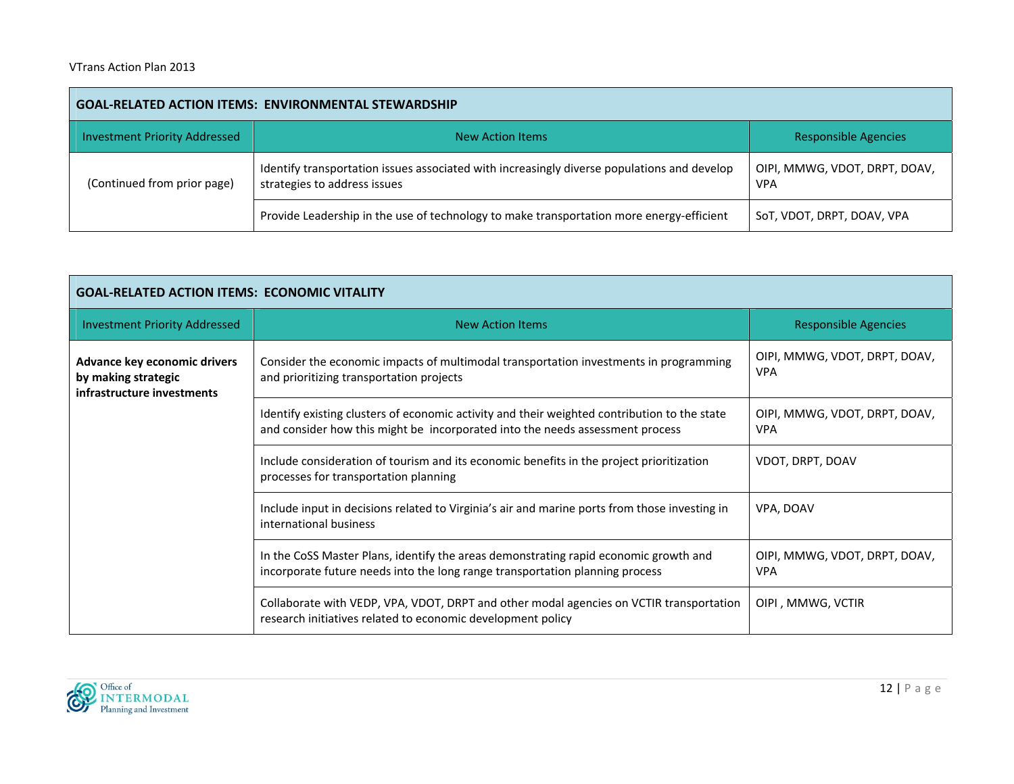| <b>GOAL-RELATED ACTION ITEMS: ENVIRONMENTAL STEWARDSHIP</b> |                                                                                                                             |                                             |  |
|-------------------------------------------------------------|-----------------------------------------------------------------------------------------------------------------------------|---------------------------------------------|--|
| <b>Investment Priority Addressed</b>                        | New Action Items                                                                                                            | <b>Responsible Agencies</b>                 |  |
| (Continued from prior page)                                 | Identify transportation issues associated with increasingly diverse populations and develop<br>strategies to address issues | OIPI, MMWG, VDOT, DRPT, DOAV,<br><b>VPA</b> |  |
|                                                             | Provide Leadership in the use of technology to make transportation more energy-efficient                                    | SoT, VDOT, DRPT, DOAV, VPA                  |  |

| <b>GOAL-RELATED ACTION ITEMS: ECONOMIC VITALITY</b>                               |                                                                                                                                                                               |                                             |  |
|-----------------------------------------------------------------------------------|-------------------------------------------------------------------------------------------------------------------------------------------------------------------------------|---------------------------------------------|--|
| <b>Investment Priority Addressed</b>                                              | <b>New Action Items</b>                                                                                                                                                       | <b>Responsible Agencies</b>                 |  |
| Advance key economic drivers<br>by making strategic<br>infrastructure investments | Consider the economic impacts of multimodal transportation investments in programming<br>and prioritizing transportation projects                                             | OIPI, MMWG, VDOT, DRPT, DOAV,<br><b>VPA</b> |  |
|                                                                                   | Identify existing clusters of economic activity and their weighted contribution to the state<br>and consider how this might be incorporated into the needs assessment process | OIPI, MMWG, VDOT, DRPT, DOAV,<br><b>VPA</b> |  |
|                                                                                   | Include consideration of tourism and its economic benefits in the project prioritization<br>processes for transportation planning                                             | <b>VDOT, DRPT, DOAV</b>                     |  |
|                                                                                   | Include input in decisions related to Virginia's air and marine ports from those investing in<br>international business                                                       | VPA, DOAV                                   |  |
|                                                                                   | In the CoSS Master Plans, identify the areas demonstrating rapid economic growth and<br>incorporate future needs into the long range transportation planning process          | OIPI, MMWG, VDOT, DRPT, DOAV,<br><b>VPA</b> |  |
|                                                                                   | Collaborate with VEDP, VPA, VDOT, DRPT and other modal agencies on VCTIR transportation<br>research initiatives related to economic development policy                        | OIPI, MMWG, VCTIR                           |  |

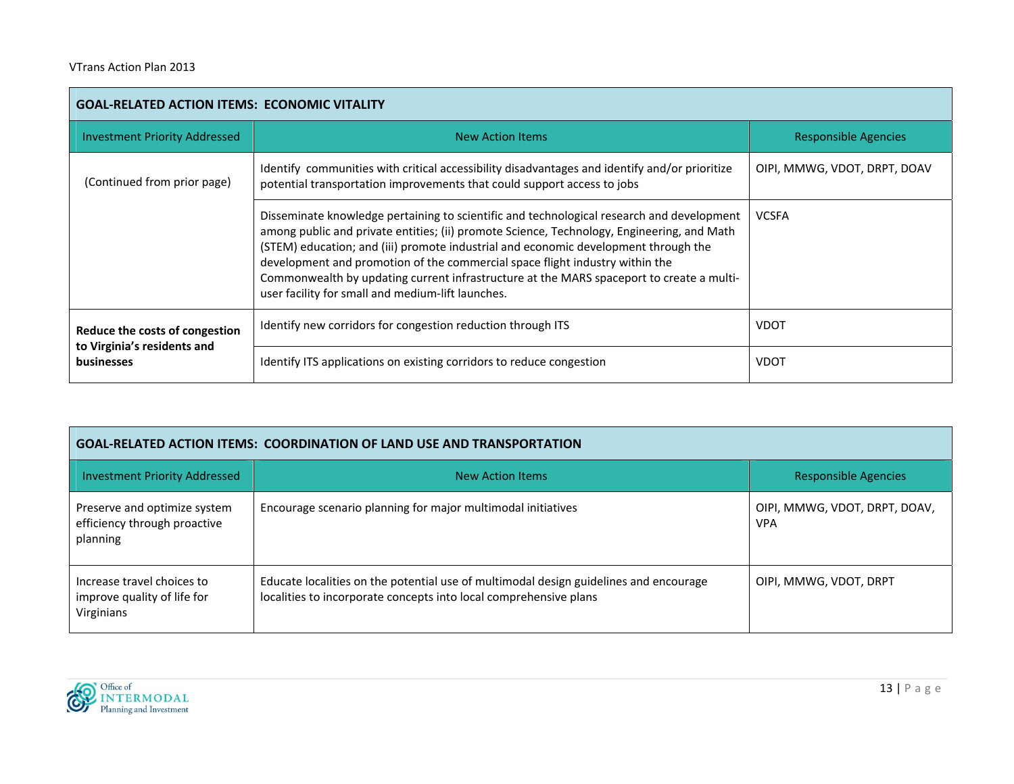| GOAL-RELATED ACTION ITEMS: ECONOMIC VITALITY     |                                                                                                                                                                                                                                                                                                                                                                                                                                                                                                                 |                              |  |
|--------------------------------------------------|-----------------------------------------------------------------------------------------------------------------------------------------------------------------------------------------------------------------------------------------------------------------------------------------------------------------------------------------------------------------------------------------------------------------------------------------------------------------------------------------------------------------|------------------------------|--|
| <b>Investment Priority Addressed</b>             | <b>New Action Items</b>                                                                                                                                                                                                                                                                                                                                                                                                                                                                                         | <b>Responsible Agencies</b>  |  |
| (Continued from prior page)                      | Identify communities with critical accessibility disadvantages and identify and/or prioritize<br>potential transportation improvements that could support access to jobs                                                                                                                                                                                                                                                                                                                                        | OIPI, MMWG, VDOT, DRPT, DOAV |  |
|                                                  | Disseminate knowledge pertaining to scientific and technological research and development<br>among public and private entities; (ii) promote Science, Technology, Engineering, and Math<br>(STEM) education; and (iii) promote industrial and economic development through the<br>development and promotion of the commercial space flight industry within the<br>Commonwealth by updating current infrastructure at the MARS spaceport to create a multi-<br>user facility for small and medium-lift launches. | <b>VCSFA</b>                 |  |
| Reduce the costs of congestion                   | Identify new corridors for congestion reduction through ITS                                                                                                                                                                                                                                                                                                                                                                                                                                                     | <b>VDOT</b>                  |  |
| to Virginia's residents and<br><b>businesses</b> | Identify ITS applications on existing corridors to reduce congestion                                                                                                                                                                                                                                                                                                                                                                                                                                            | <b>VDOT</b>                  |  |

| <b>GOAL-RELATED ACTION ITEMS: COORDINATION OF LAND USE AND TRANSPORTATION</b> |                                                                                                                                                            |                                             |  |
|-------------------------------------------------------------------------------|------------------------------------------------------------------------------------------------------------------------------------------------------------|---------------------------------------------|--|
| <b>Investment Priority Addressed</b>                                          | New Action Items                                                                                                                                           | <b>Responsible Agencies</b>                 |  |
| Preserve and optimize system<br>efficiency through proactive<br>planning      | Encourage scenario planning for major multimodal initiatives                                                                                               | OIPI, MMWG, VDOT, DRPT, DOAV,<br><b>VPA</b> |  |
| Increase travel choices to<br>improve quality of life for<br>Virginians       | Educate localities on the potential use of multimodal design guidelines and encourage<br>localities to incorporate concepts into local comprehensive plans | OIPI, MMWG, VDOT, DRPT                      |  |

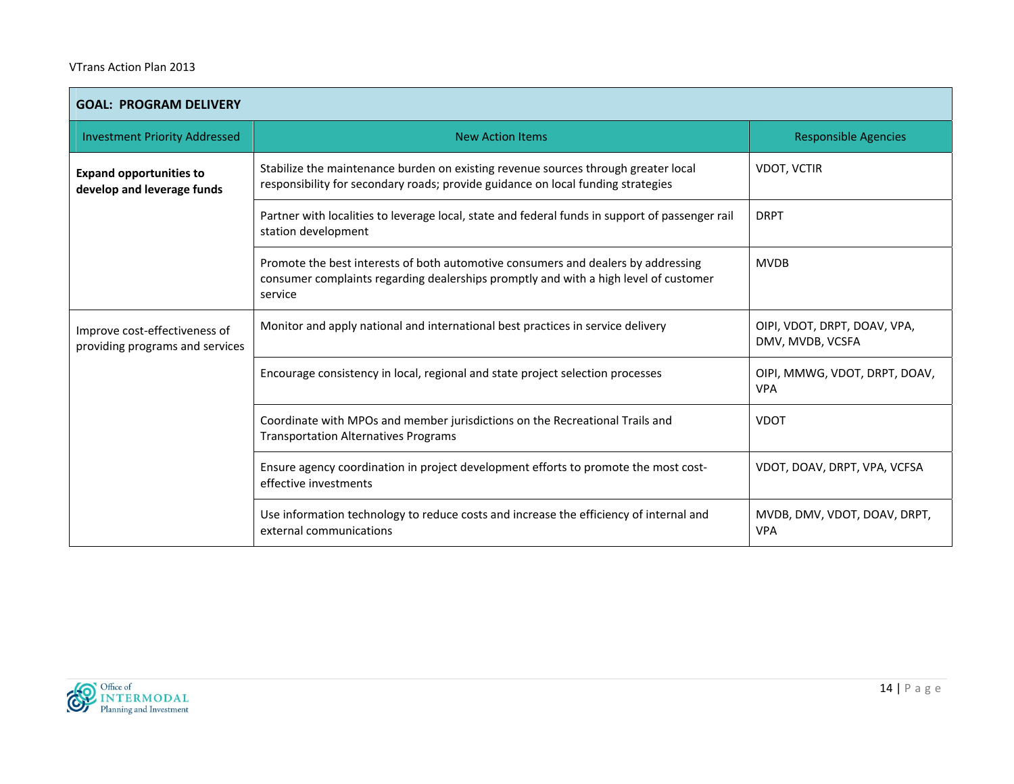#### VTrans Action Plan 2013

| <b>GOAL: PROGRAM DELIVERY</b>                                    |                                                                                                                                                                                      |                                                  |  |  |
|------------------------------------------------------------------|--------------------------------------------------------------------------------------------------------------------------------------------------------------------------------------|--------------------------------------------------|--|--|
| <b>Investment Priority Addressed</b>                             | <b>New Action Items</b>                                                                                                                                                              | <b>Responsible Agencies</b>                      |  |  |
| <b>Expand opportunities to</b><br>develop and leverage funds     | Stabilize the maintenance burden on existing revenue sources through greater local<br>responsibility for secondary roads; provide guidance on local funding strategies               | <b>VDOT, VCTIR</b>                               |  |  |
|                                                                  | Partner with localities to leverage local, state and federal funds in support of passenger rail<br>station development                                                               | <b>DRPT</b>                                      |  |  |
|                                                                  | Promote the best interests of both automotive consumers and dealers by addressing<br>consumer complaints regarding dealerships promptly and with a high level of customer<br>service | <b>MVDB</b>                                      |  |  |
| Improve cost-effectiveness of<br>providing programs and services | Monitor and apply national and international best practices in service delivery                                                                                                      | OIPI, VDOT, DRPT, DOAV, VPA,<br>DMV, MVDB, VCSFA |  |  |
|                                                                  | Encourage consistency in local, regional and state project selection processes                                                                                                       | OIPI, MMWG, VDOT, DRPT, DOAV,<br><b>VPA</b>      |  |  |
|                                                                  | Coordinate with MPOs and member jurisdictions on the Recreational Trails and<br><b>Transportation Alternatives Programs</b>                                                          | <b>VDOT</b>                                      |  |  |
|                                                                  | Ensure agency coordination in project development efforts to promote the most cost-<br>effective investments                                                                         | VDOT, DOAV, DRPT, VPA, VCFSA                     |  |  |
|                                                                  | Use information technology to reduce costs and increase the efficiency of internal and<br>external communications                                                                    | MVDB, DMV, VDOT, DOAV, DRPT,<br><b>VPA</b>       |  |  |

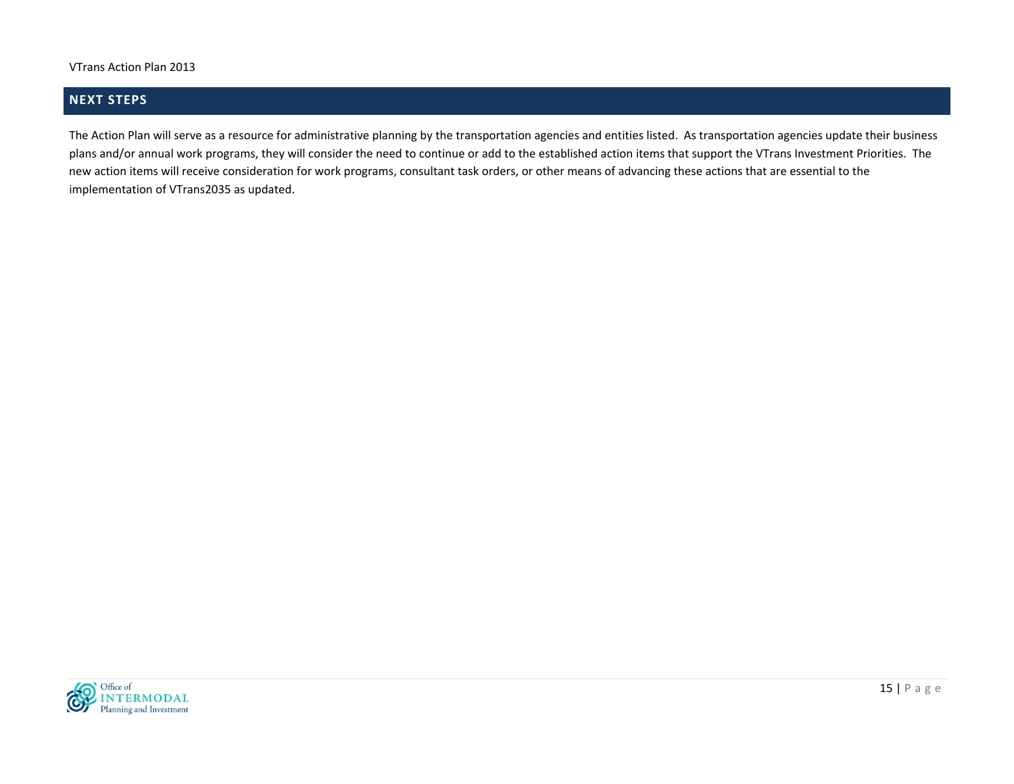#### VTrans Action Plan 2013

## **NEXT STEPS**

The Action Plan will serve as <sup>a</sup> resource for administrative planning by the transportation agencies and entities listed. As transportation agencies update their business plans and/or annual work programs, they will consider the need to continue or add to the established action items that support the VTrans Investment Priorities. The new action items will receive consideration for work programs, consultant task orders, or other means of advancing these actions that are essential to the implementation of VTrans2035 as updated.

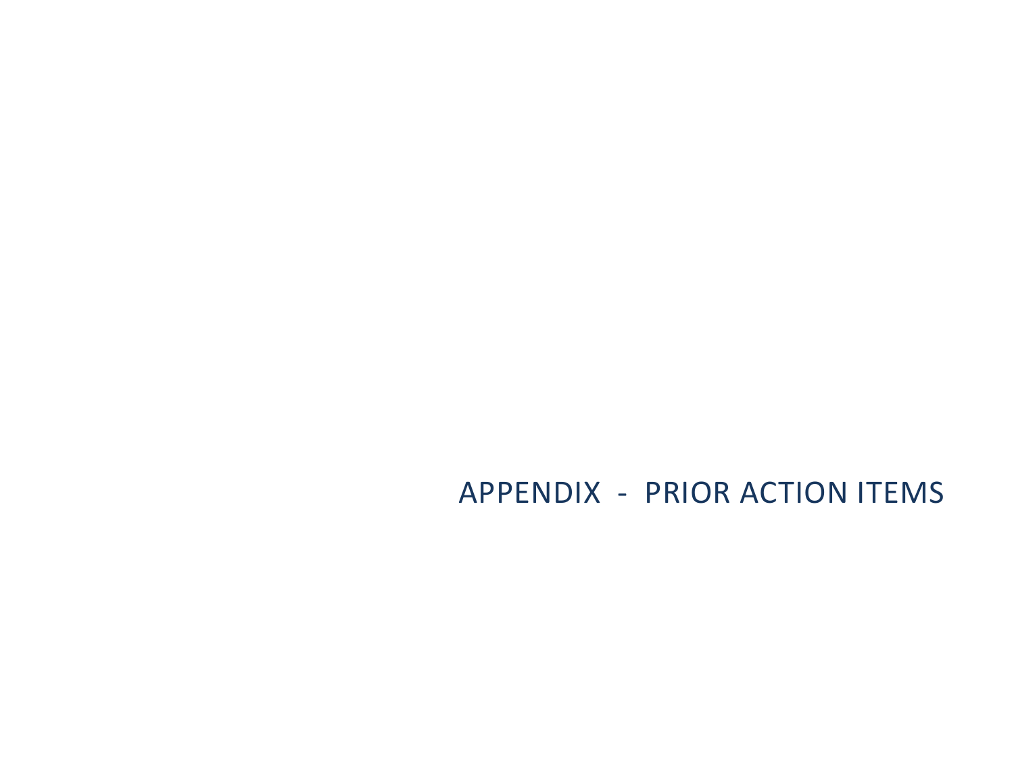APPENDIX ‐ PRIOR ACTION ITEMS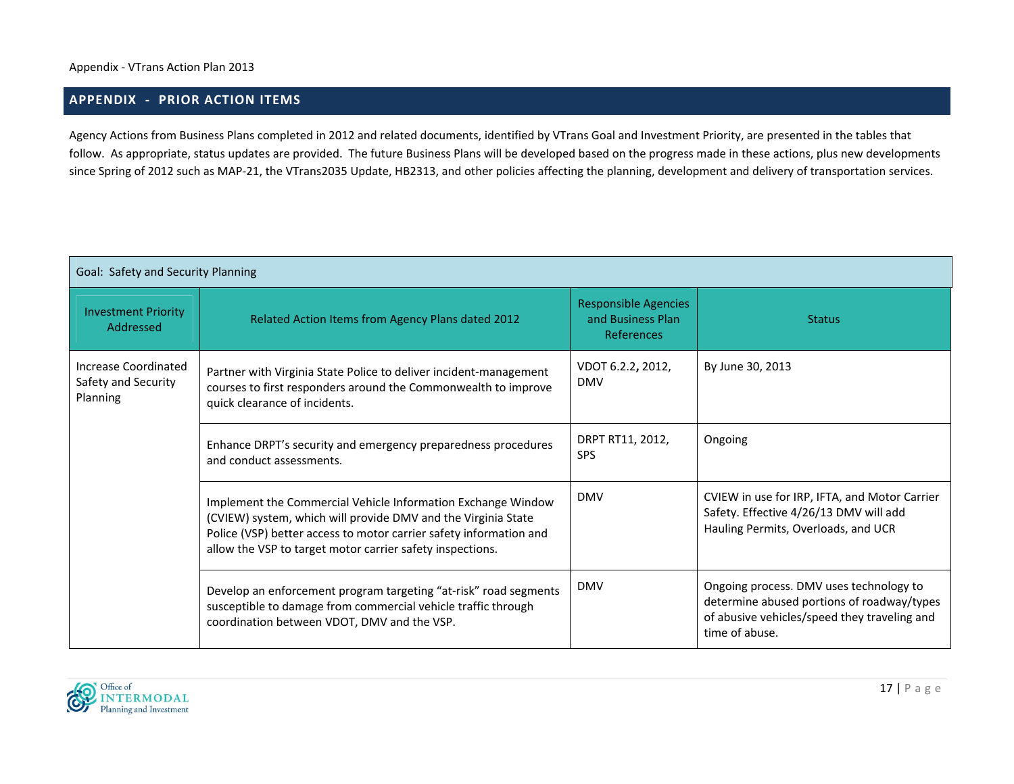# **APPENDIX ‐ PRIOR ACTION ITEMS**

Agency Actions from Business Plans completed in 2012 and related documents, identified by VTrans Goal and Investment Priority, are presented in the tables that follow. As appropriate, status updates are provided. The future Business Plans will be developed based on the progress made in these actions, plus new developments since Spring of 2012 such as MAP‐21, the VTrans2035 Update, HB2313, and other policies affecting the planning, development and delivery of transportation services.

| Goal: Safety and Security Planning                      |                                                                                                                                                                                                                                                                  |                                                                       |                                                                                                                                                         |
|---------------------------------------------------------|------------------------------------------------------------------------------------------------------------------------------------------------------------------------------------------------------------------------------------------------------------------|-----------------------------------------------------------------------|---------------------------------------------------------------------------------------------------------------------------------------------------------|
| <b>Investment Priority</b><br>Addressed                 | Related Action Items from Agency Plans dated 2012                                                                                                                                                                                                                | <b>Responsible Agencies</b><br>and Business Plan<br><b>References</b> | <b>Status</b>                                                                                                                                           |
| Increase Coordinated<br>Safety and Security<br>Planning | Partner with Virginia State Police to deliver incident-management<br>courses to first responders around the Commonwealth to improve<br>quick clearance of incidents.                                                                                             | VDOT 6.2.2, 2012,<br><b>DMV</b>                                       | By June 30, 2013                                                                                                                                        |
|                                                         | Enhance DRPT's security and emergency preparedness procedures<br>and conduct assessments.                                                                                                                                                                        | DRPT RT11, 2012,<br><b>SPS</b>                                        | Ongoing                                                                                                                                                 |
|                                                         | Implement the Commercial Vehicle Information Exchange Window<br>(CVIEW) system, which will provide DMV and the Virginia State<br>Police (VSP) better access to motor carrier safety information and<br>allow the VSP to target motor carrier safety inspections. | <b>DMV</b>                                                            | CVIEW in use for IRP, IFTA, and Motor Carrier<br>Safety. Effective 4/26/13 DMV will add<br>Hauling Permits, Overloads, and UCR                          |
|                                                         | Develop an enforcement program targeting "at-risk" road segments<br>susceptible to damage from commercial vehicle traffic through<br>coordination between VDOT, DMV and the VSP.                                                                                 | <b>DMV</b>                                                            | Ongoing process. DMV uses technology to<br>determine abused portions of roadway/types<br>of abusive vehicles/speed they traveling and<br>time of abuse. |

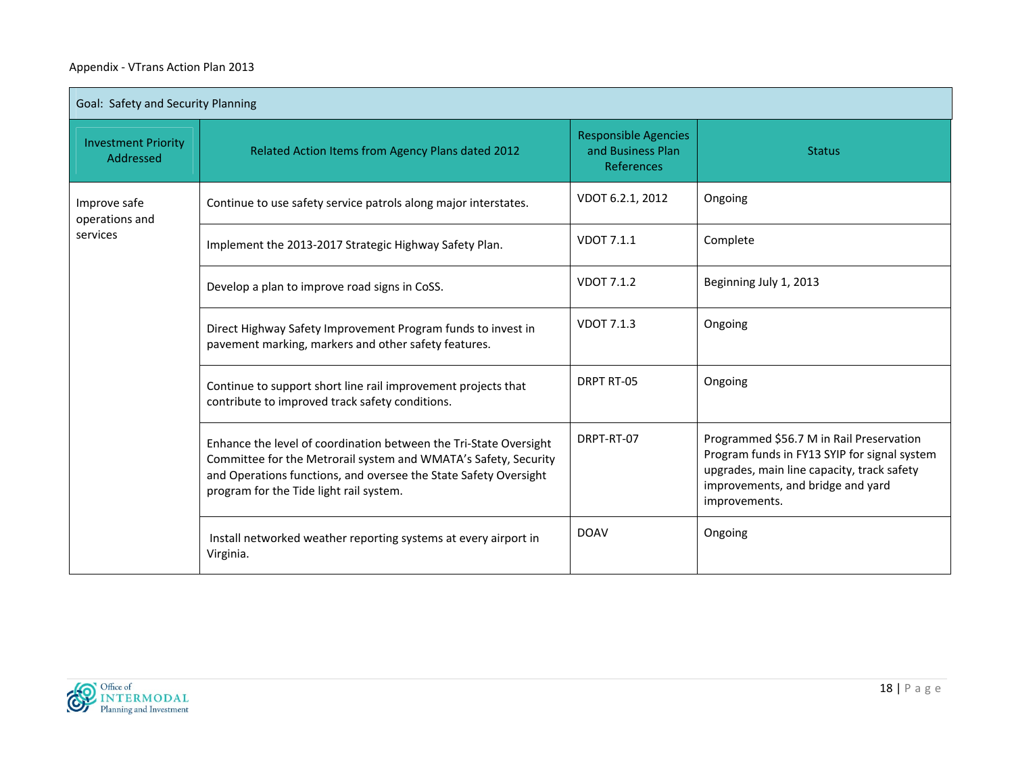| Goal: Safety and Security Planning      |                                                                                                                                                                                                                                                     |                                                                       |                                                                                                                                                                                              |
|-----------------------------------------|-----------------------------------------------------------------------------------------------------------------------------------------------------------------------------------------------------------------------------------------------------|-----------------------------------------------------------------------|----------------------------------------------------------------------------------------------------------------------------------------------------------------------------------------------|
| <b>Investment Priority</b><br>Addressed | Related Action Items from Agency Plans dated 2012                                                                                                                                                                                                   | <b>Responsible Agencies</b><br>and Business Plan<br><b>References</b> | <b>Status</b>                                                                                                                                                                                |
| Improve safe<br>operations and          | Continue to use safety service patrols along major interstates.                                                                                                                                                                                     | VDOT 6.2.1, 2012                                                      | Ongoing                                                                                                                                                                                      |
| services                                | Implement the 2013-2017 Strategic Highway Safety Plan.                                                                                                                                                                                              | <b>VDOT 7.1.1</b>                                                     | Complete                                                                                                                                                                                     |
|                                         | Develop a plan to improve road signs in CoSS.                                                                                                                                                                                                       | <b>VDOT 7.1.2</b>                                                     | Beginning July 1, 2013                                                                                                                                                                       |
|                                         | Direct Highway Safety Improvement Program funds to invest in<br>pavement marking, markers and other safety features.                                                                                                                                | <b>VDOT 7.1.3</b>                                                     | Ongoing                                                                                                                                                                                      |
|                                         | Continue to support short line rail improvement projects that<br>contribute to improved track safety conditions.                                                                                                                                    | DRPT RT-05                                                            | Ongoing                                                                                                                                                                                      |
|                                         | Enhance the level of coordination between the Tri-State Oversight<br>Committee for the Metrorail system and WMATA's Safety, Security<br>and Operations functions, and oversee the State Safety Oversight<br>program for the Tide light rail system. | DRPT-RT-07                                                            | Programmed \$56.7 M in Rail Preservation<br>Program funds in FY13 SYIP for signal system<br>upgrades, main line capacity, track safety<br>improvements, and bridge and yard<br>improvements. |
|                                         | Install networked weather reporting systems at every airport in<br>Virginia.                                                                                                                                                                        | <b>DOAV</b>                                                           | Ongoing                                                                                                                                                                                      |

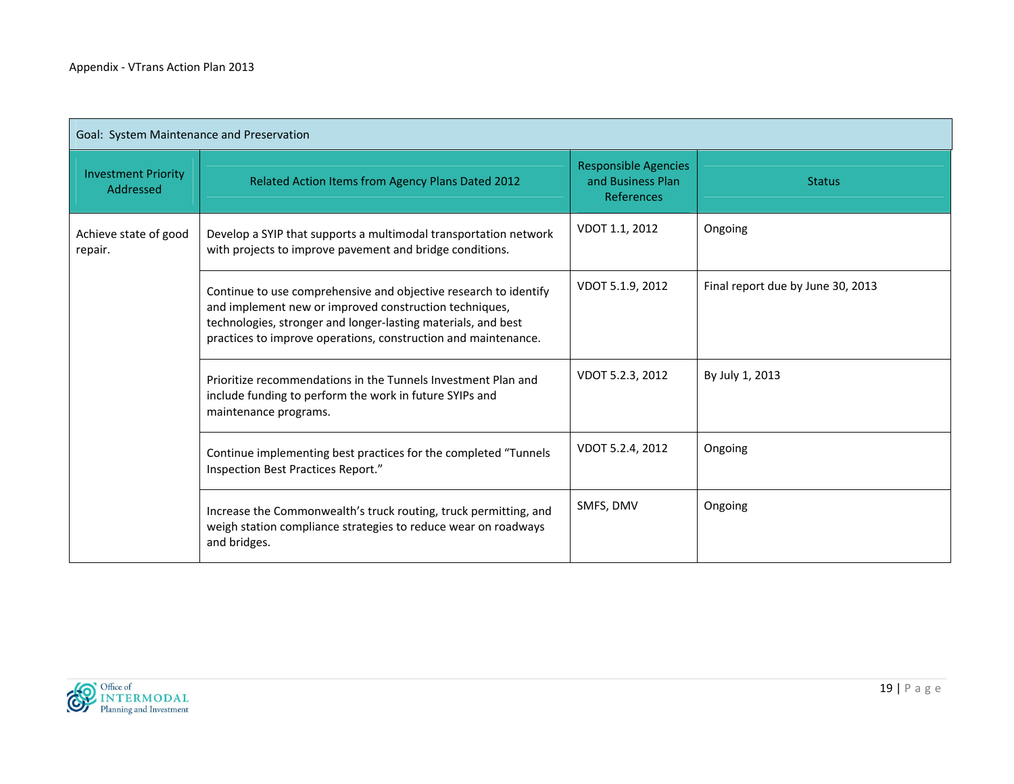| Goal: System Maintenance and Preservation |                                                                                                                                                                                                                                                               |                                                                       |                                   |
|-------------------------------------------|---------------------------------------------------------------------------------------------------------------------------------------------------------------------------------------------------------------------------------------------------------------|-----------------------------------------------------------------------|-----------------------------------|
| <b>Investment Priority</b><br>Addressed   | Related Action Items from Agency Plans Dated 2012                                                                                                                                                                                                             | <b>Responsible Agencies</b><br>and Business Plan<br><b>References</b> | <b>Status</b>                     |
| Achieve state of good<br>repair.          | Develop a SYIP that supports a multimodal transportation network<br>with projects to improve pavement and bridge conditions.                                                                                                                                  | VDOT 1.1, 2012                                                        | Ongoing                           |
|                                           | Continue to use comprehensive and objective research to identify<br>and implement new or improved construction techniques,<br>technologies, stronger and longer-lasting materials, and best<br>practices to improve operations, construction and maintenance. | VDOT 5.1.9, 2012                                                      | Final report due by June 30, 2013 |
|                                           | Prioritize recommendations in the Tunnels Investment Plan and<br>include funding to perform the work in future SYIPs and<br>maintenance programs.                                                                                                             | VDOT 5.2.3, 2012                                                      | By July 1, 2013                   |
|                                           | Continue implementing best practices for the completed "Tunnels<br>Inspection Best Practices Report."                                                                                                                                                         | VDOT 5.2.4, 2012                                                      | Ongoing                           |
|                                           | Increase the Commonwealth's truck routing, truck permitting, and<br>weigh station compliance strategies to reduce wear on roadways<br>and bridges.                                                                                                            | SMFS, DMV                                                             | Ongoing                           |

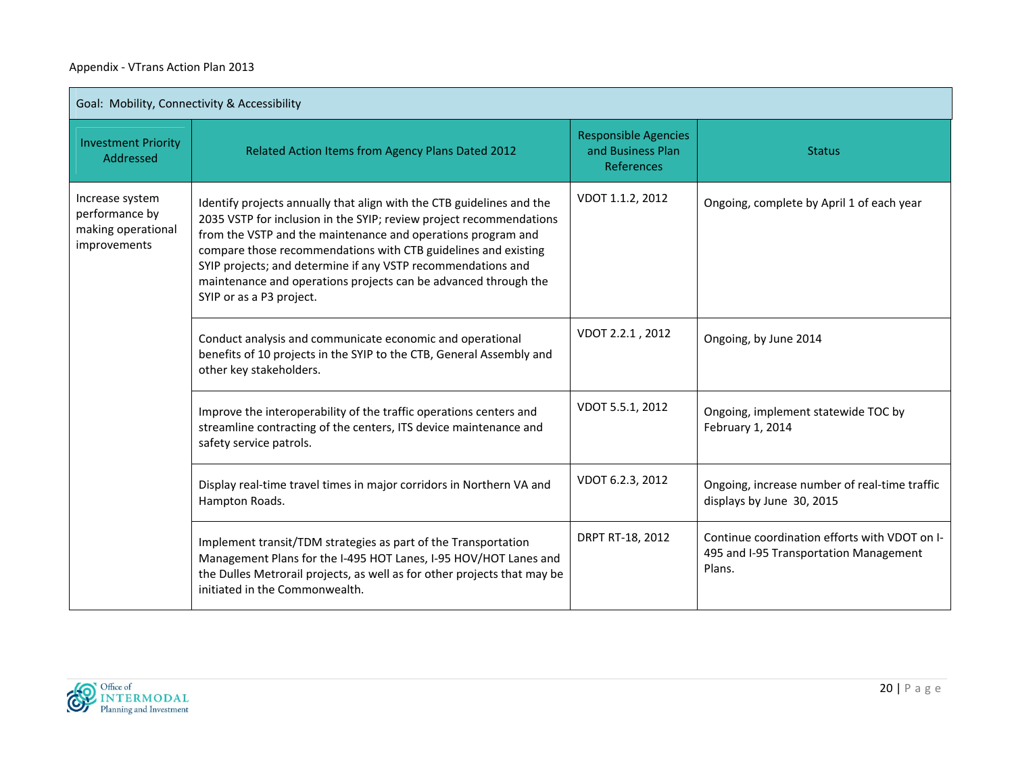| Goal: Mobility, Connectivity & Accessibility                            |                                                                                                                                                                                                                                                                                                                                                                                                                                               |                                                                |                                                                                                   |
|-------------------------------------------------------------------------|-----------------------------------------------------------------------------------------------------------------------------------------------------------------------------------------------------------------------------------------------------------------------------------------------------------------------------------------------------------------------------------------------------------------------------------------------|----------------------------------------------------------------|---------------------------------------------------------------------------------------------------|
| <b>Investment Priority</b><br>Addressed                                 | Related Action Items from Agency Plans Dated 2012                                                                                                                                                                                                                                                                                                                                                                                             | <b>Responsible Agencies</b><br>and Business Plan<br>References | <b>Status</b>                                                                                     |
| Increase system<br>performance by<br>making operational<br>improvements | Identify projects annually that align with the CTB guidelines and the<br>2035 VSTP for inclusion in the SYIP; review project recommendations<br>from the VSTP and the maintenance and operations program and<br>compare those recommendations with CTB guidelines and existing<br>SYIP projects; and determine if any VSTP recommendations and<br>maintenance and operations projects can be advanced through the<br>SYIP or as a P3 project. | VDOT 1.1.2, 2012                                               | Ongoing, complete by April 1 of each year                                                         |
|                                                                         | Conduct analysis and communicate economic and operational<br>benefits of 10 projects in the SYIP to the CTB, General Assembly and<br>other key stakeholders.                                                                                                                                                                                                                                                                                  | VDOT 2.2.1, 2012                                               | Ongoing, by June 2014                                                                             |
|                                                                         | Improve the interoperability of the traffic operations centers and<br>streamline contracting of the centers, ITS device maintenance and<br>safety service patrols.                                                                                                                                                                                                                                                                            | VDOT 5.5.1, 2012                                               | Ongoing, implement statewide TOC by<br>February 1, 2014                                           |
|                                                                         | Display real-time travel times in major corridors in Northern VA and<br>Hampton Roads.                                                                                                                                                                                                                                                                                                                                                        | VDOT 6.2.3, 2012                                               | Ongoing, increase number of real-time traffic<br>displays by June 30, 2015                        |
|                                                                         | Implement transit/TDM strategies as part of the Transportation<br>Management Plans for the I-495 HOT Lanes, I-95 HOV/HOT Lanes and<br>the Dulles Metrorail projects, as well as for other projects that may be<br>initiated in the Commonwealth.                                                                                                                                                                                              | DRPT RT-18, 2012                                               | Continue coordination efforts with VDOT on I-<br>495 and I-95 Transportation Management<br>Plans. |

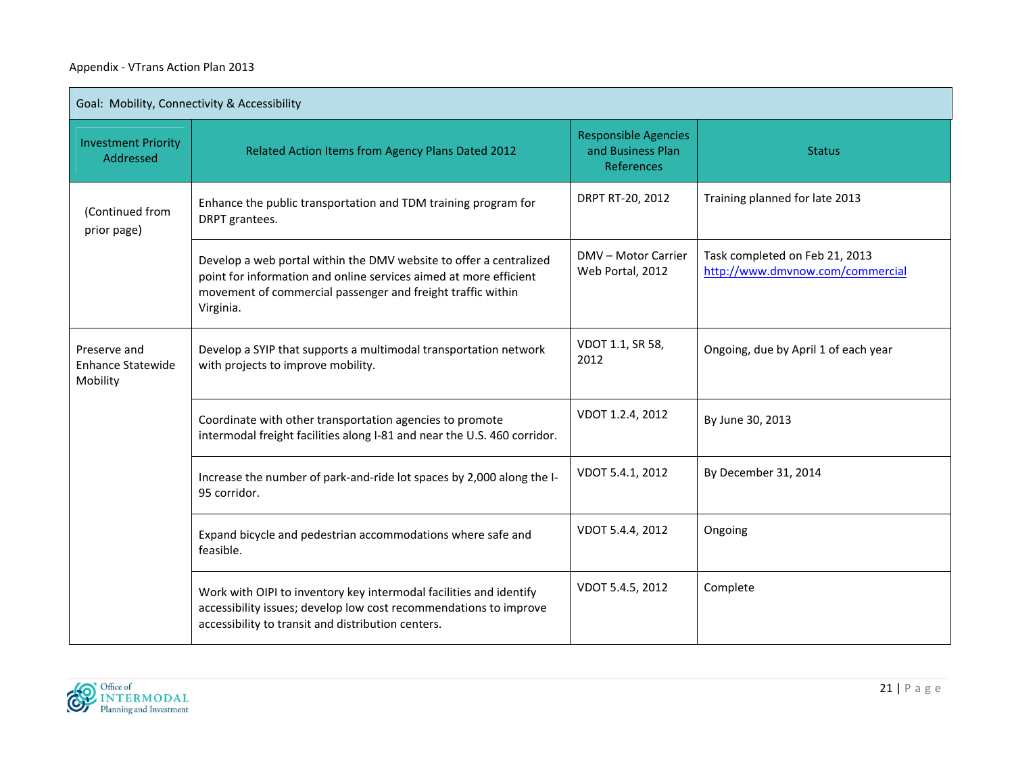| Goal: Mobility, Connectivity & Accessibility  |                                                                                                                                                                                                                     |                                                                       |                                                                    |
|-----------------------------------------------|---------------------------------------------------------------------------------------------------------------------------------------------------------------------------------------------------------------------|-----------------------------------------------------------------------|--------------------------------------------------------------------|
| <b>Investment Priority</b><br>Addressed       | Related Action Items from Agency Plans Dated 2012                                                                                                                                                                   | <b>Responsible Agencies</b><br>and Business Plan<br><b>References</b> | <b>Status</b>                                                      |
| (Continued from<br>prior page)                | Enhance the public transportation and TDM training program for<br>DRPT grantees.                                                                                                                                    | DRPT RT-20, 2012                                                      | Training planned for late 2013                                     |
|                                               | Develop a web portal within the DMV website to offer a centralized<br>point for information and online services aimed at more efficient<br>movement of commercial passenger and freight traffic within<br>Virginia. | DMV - Motor Carrier<br>Web Portal, 2012                               | Task completed on Feb 21, 2013<br>http://www.dmvnow.com/commercial |
| Preserve and<br>Enhance Statewide<br>Mobility | Develop a SYIP that supports a multimodal transportation network<br>with projects to improve mobility.                                                                                                              | VDOT 1.1, SR 58,<br>2012                                              | Ongoing, due by April 1 of each year                               |
|                                               | Coordinate with other transportation agencies to promote<br>intermodal freight facilities along I-81 and near the U.S. 460 corridor.                                                                                | VDOT 1.2.4, 2012                                                      | By June 30, 2013                                                   |
|                                               | Increase the number of park-and-ride lot spaces by 2,000 along the I-<br>95 corridor.                                                                                                                               | VDOT 5.4.1, 2012                                                      | By December 31, 2014                                               |
|                                               | Expand bicycle and pedestrian accommodations where safe and<br>feasible.                                                                                                                                            | VDOT 5.4.4, 2012                                                      | Ongoing                                                            |
|                                               | Work with OIPI to inventory key intermodal facilities and identify<br>accessibility issues; develop low cost recommendations to improve<br>accessibility to transit and distribution centers.                       | VDOT 5.4.5, 2012                                                      | Complete                                                           |

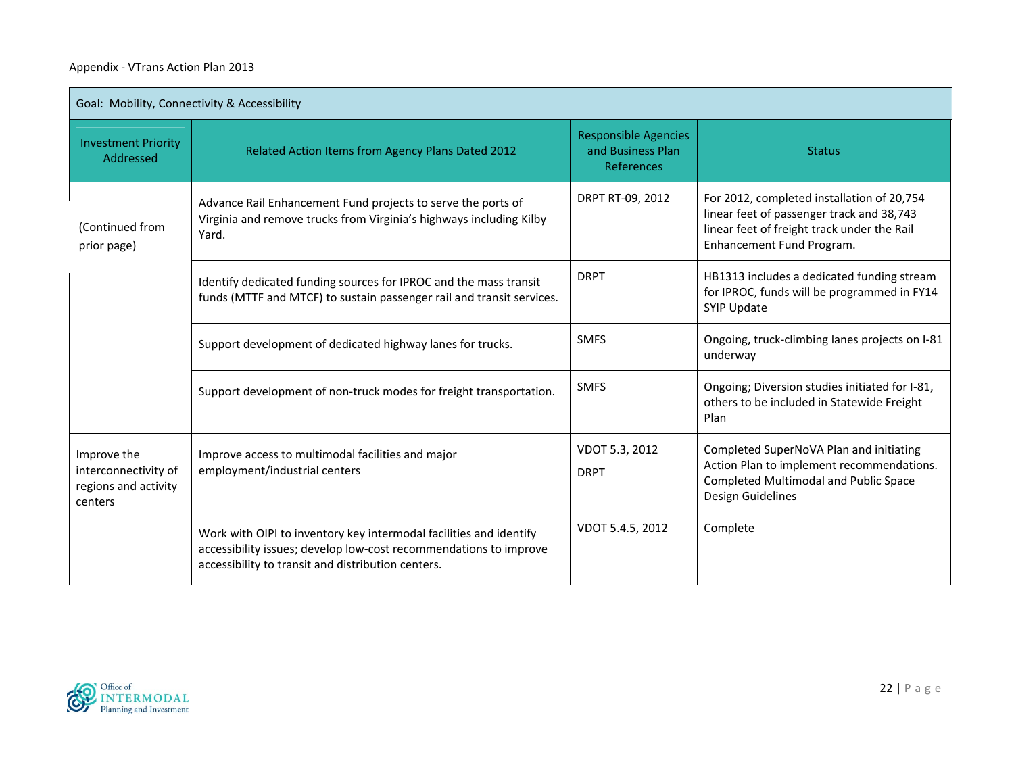| Goal: Mobility, Connectivity & Accessibility                           |                                                                                                                                                                                               |                                                                |                                                                                                                                                                     |  |
|------------------------------------------------------------------------|-----------------------------------------------------------------------------------------------------------------------------------------------------------------------------------------------|----------------------------------------------------------------|---------------------------------------------------------------------------------------------------------------------------------------------------------------------|--|
| <b>Investment Priority</b><br>Addressed                                | Related Action Items from Agency Plans Dated 2012                                                                                                                                             | <b>Responsible Agencies</b><br>and Business Plan<br>References | <b>Status</b>                                                                                                                                                       |  |
| (Continued from<br>prior page)                                         | Advance Rail Enhancement Fund projects to serve the ports of<br>Virginia and remove trucks from Virginia's highways including Kilby<br>Yard.                                                  | DRPT RT-09, 2012                                               | For 2012, completed installation of 20,754<br>linear feet of passenger track and 38,743<br>linear feet of freight track under the Rail<br>Enhancement Fund Program. |  |
|                                                                        | Identify dedicated funding sources for IPROC and the mass transit<br>funds (MTTF and MTCF) to sustain passenger rail and transit services.                                                    | <b>DRPT</b>                                                    | HB1313 includes a dedicated funding stream<br>for IPROC, funds will be programmed in FY14<br><b>SYIP Update</b>                                                     |  |
|                                                                        | Support development of dedicated highway lanes for trucks.                                                                                                                                    | <b>SMFS</b>                                                    | Ongoing, truck-climbing lanes projects on I-81<br>underway                                                                                                          |  |
|                                                                        | Support development of non-truck modes for freight transportation.                                                                                                                            | <b>SMFS</b>                                                    | Ongoing; Diversion studies initiated for I-81,<br>others to be included in Statewide Freight<br>Plan                                                                |  |
| Improve the<br>interconnectivity of<br>regions and activity<br>centers | Improve access to multimodal facilities and major<br>employment/industrial centers                                                                                                            | VDOT 5.3, 2012<br><b>DRPT</b>                                  | Completed SuperNoVA Plan and initiating<br>Action Plan to implement recommendations.<br>Completed Multimodal and Public Space<br>Design Guidelines                  |  |
|                                                                        | Work with OIPI to inventory key intermodal facilities and identify<br>accessibility issues; develop low-cost recommendations to improve<br>accessibility to transit and distribution centers. | VDOT 5.4.5, 2012                                               | Complete                                                                                                                                                            |  |

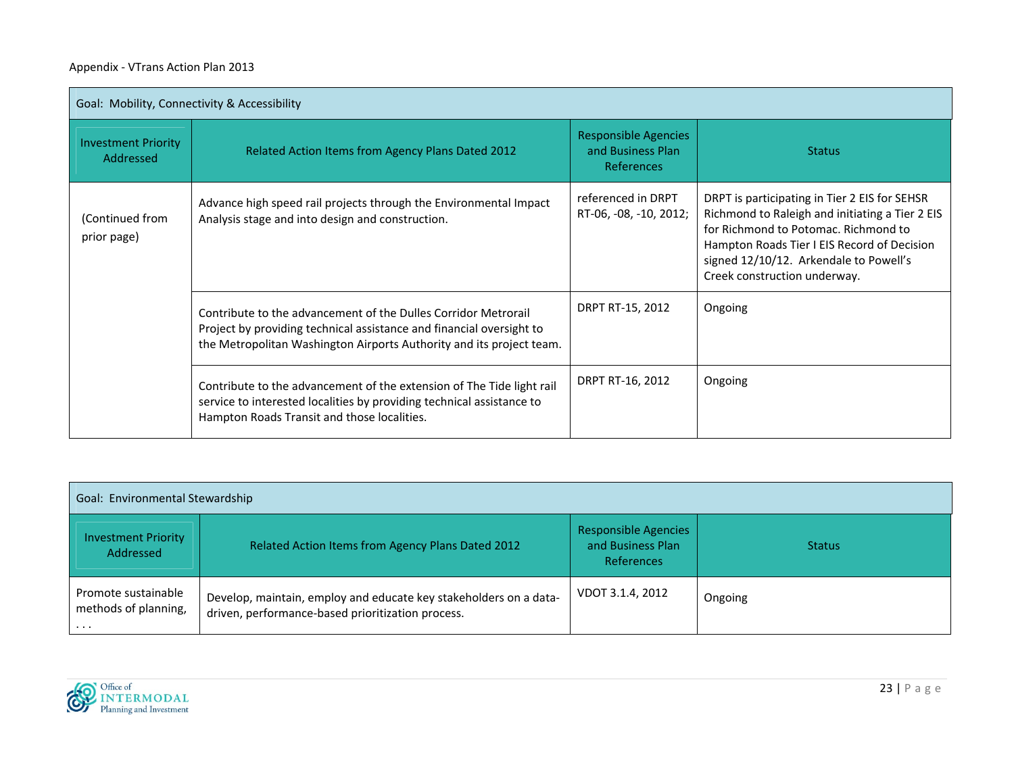| Goal: Mobility, Connectivity & Accessibility |                                                                                                                                                                                                                |                                                                       |                                                                                                                                                                                                                                                                   |
|----------------------------------------------|----------------------------------------------------------------------------------------------------------------------------------------------------------------------------------------------------------------|-----------------------------------------------------------------------|-------------------------------------------------------------------------------------------------------------------------------------------------------------------------------------------------------------------------------------------------------------------|
| <b>Investment Priority</b><br>Addressed      | Related Action Items from Agency Plans Dated 2012                                                                                                                                                              | <b>Responsible Agencies</b><br>and Business Plan<br><b>References</b> | <b>Status</b>                                                                                                                                                                                                                                                     |
| (Continued from<br>prior page)               | Advance high speed rail projects through the Environmental Impact<br>Analysis stage and into design and construction.                                                                                          | referenced in DRPT<br>RT-06, -08, -10, 2012;                          | DRPT is participating in Tier 2 EIS for SEHSR<br>Richmond to Raleigh and initiating a Tier 2 EIS<br>for Richmond to Potomac. Richmond to<br>Hampton Roads Tier I EIS Record of Decision<br>signed 12/10/12. Arkendale to Powell's<br>Creek construction underway. |
|                                              | Contribute to the advancement of the Dulles Corridor Metrorail<br>Project by providing technical assistance and financial oversight to<br>the Metropolitan Washington Airports Authority and its project team. | DRPT RT-15, 2012                                                      | Ongoing                                                                                                                                                                                                                                                           |
|                                              | Contribute to the advancement of the extension of The Tide light rail<br>service to interested localities by providing technical assistance to<br>Hampton Roads Transit and those localities.                  | DRPT RT-16, 2012                                                      | Ongoing                                                                                                                                                                                                                                                           |

| Goal: Environmental Stewardship                         |                                                                                                                        |                                                                |               |
|---------------------------------------------------------|------------------------------------------------------------------------------------------------------------------------|----------------------------------------------------------------|---------------|
| <b>Investment Priority</b><br>Addressed                 | Related Action Items from Agency Plans Dated 2012                                                                      | <b>Responsible Agencies</b><br>and Business Plan<br>References | <b>Status</b> |
| Promote sustainable<br>methods of planning,<br>$\cdots$ | Develop, maintain, employ and educate key stakeholders on a data-<br>driven, performance-based prioritization process. | VDOT 3.1.4, 2012                                               | Ongoing       |

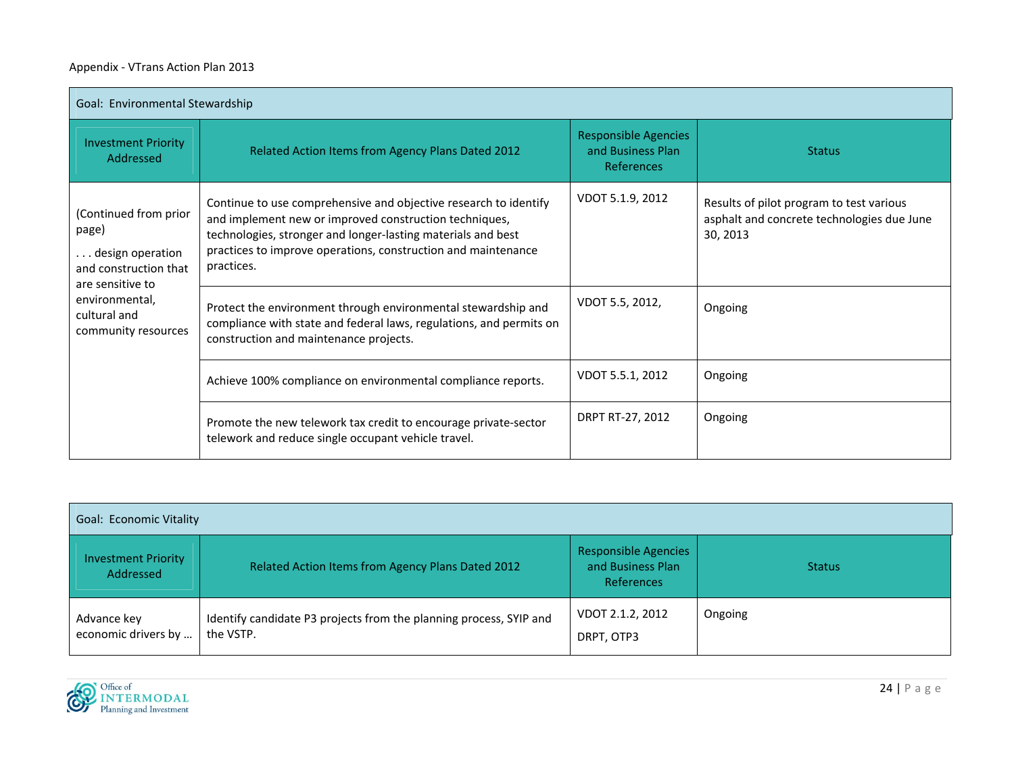| Goal: Environmental Stewardship                                                                                                                          |                                                                                                                                                                                                                                                                           |                                                                       |                                                                                                    |
|----------------------------------------------------------------------------------------------------------------------------------------------------------|---------------------------------------------------------------------------------------------------------------------------------------------------------------------------------------------------------------------------------------------------------------------------|-----------------------------------------------------------------------|----------------------------------------------------------------------------------------------------|
| <b>Investment Priority</b><br>Addressed                                                                                                                  | Related Action Items from Agency Plans Dated 2012                                                                                                                                                                                                                         | <b>Responsible Agencies</b><br>and Business Plan<br><b>References</b> | <b>Status</b>                                                                                      |
| (Continued from prior<br>page)<br>design operation<br>and construction that<br>are sensitive to<br>environmental,<br>cultural and<br>community resources | Continue to use comprehensive and objective research to identify<br>and implement new or improved construction techniques,<br>technologies, stronger and longer-lasting materials and best<br>practices to improve operations, construction and maintenance<br>practices. | VDOT 5.1.9, 2012                                                      | Results of pilot program to test various<br>asphalt and concrete technologies due June<br>30, 2013 |
|                                                                                                                                                          | Protect the environment through environmental stewardship and<br>compliance with state and federal laws, regulations, and permits on<br>construction and maintenance projects.                                                                                            | VDOT 5.5, 2012,                                                       | Ongoing                                                                                            |
|                                                                                                                                                          | Achieve 100% compliance on environmental compliance reports.                                                                                                                                                                                                              | VDOT 5.5.1, 2012                                                      | Ongoing                                                                                            |
|                                                                                                                                                          | Promote the new telework tax credit to encourage private-sector<br>telework and reduce single occupant vehicle travel.                                                                                                                                                    | DRPT RT-27, 2012                                                      | Ongoing                                                                                            |

| Goal: Economic Vitality                 |                                                                                 |                                                                       |               |  |
|-----------------------------------------|---------------------------------------------------------------------------------|-----------------------------------------------------------------------|---------------|--|
| <b>Investment Priority</b><br>Addressed | Related Action Items from Agency Plans Dated 2012                               | <b>Responsible Agencies</b><br>and Business Plan<br><b>References</b> | <b>Status</b> |  |
| Advance key<br>economic drivers by      | Identify candidate P3 projects from the planning process, SYIP and<br>the VSTP. | VDOT 2.1.2, 2012<br>DRPT, OTP3                                        | Ongoing       |  |

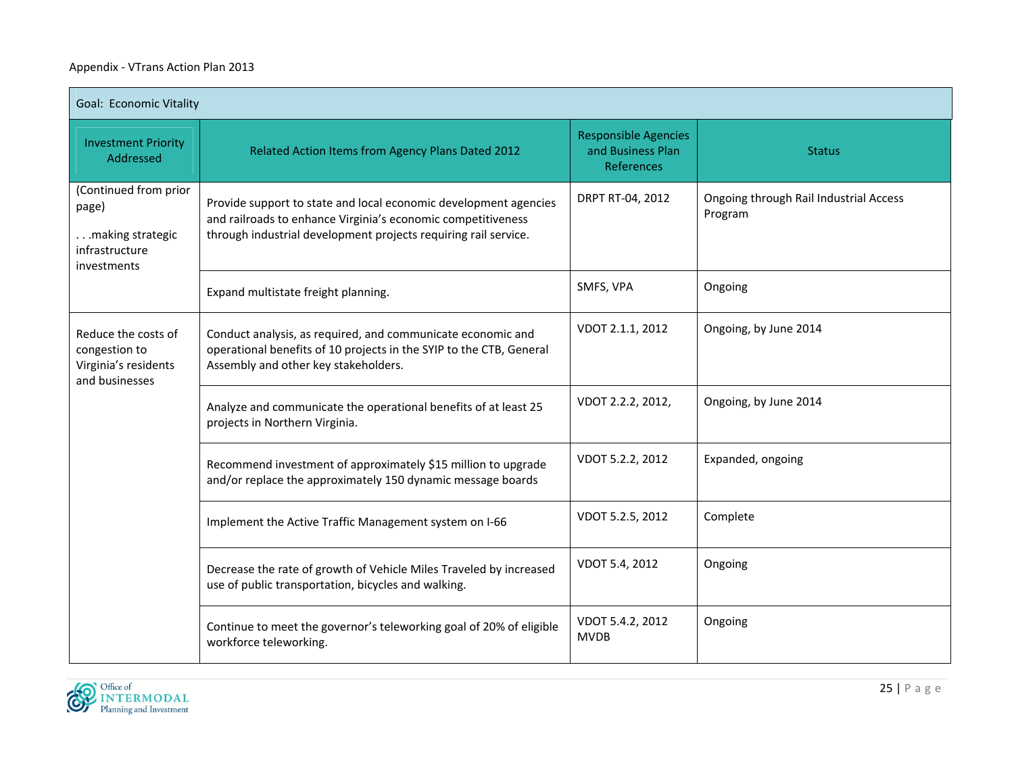| Goal: Economic Vitality                                                             |                                                                                                                                                                                                     |                                                                |                                                   |
|-------------------------------------------------------------------------------------|-----------------------------------------------------------------------------------------------------------------------------------------------------------------------------------------------------|----------------------------------------------------------------|---------------------------------------------------|
| <b>Investment Priority</b><br>Addressed                                             | Related Action Items from Agency Plans Dated 2012                                                                                                                                                   | <b>Responsible Agencies</b><br>and Business Plan<br>References | <b>Status</b>                                     |
| (Continued from prior<br>page)<br>making strategic<br>infrastructure<br>investments | Provide support to state and local economic development agencies<br>and railroads to enhance Virginia's economic competitiveness<br>through industrial development projects requiring rail service. | DRPT RT-04, 2012                                               | Ongoing through Rail Industrial Access<br>Program |
|                                                                                     | Expand multistate freight planning.                                                                                                                                                                 | SMFS, VPA                                                      | Ongoing                                           |
| Reduce the costs of<br>congestion to<br>Virginia's residents<br>and businesses      | Conduct analysis, as required, and communicate economic and<br>operational benefits of 10 projects in the SYIP to the CTB, General<br>Assembly and other key stakeholders.                          | VDOT 2.1.1, 2012                                               | Ongoing, by June 2014                             |
|                                                                                     | Analyze and communicate the operational benefits of at least 25<br>projects in Northern Virginia.                                                                                                   | VDOT 2.2.2, 2012,                                              | Ongoing, by June 2014                             |
|                                                                                     | Recommend investment of approximately \$15 million to upgrade<br>and/or replace the approximately 150 dynamic message boards                                                                        | VDOT 5.2.2, 2012                                               | Expanded, ongoing                                 |
|                                                                                     | Implement the Active Traffic Management system on I-66                                                                                                                                              | VDOT 5.2.5, 2012                                               | Complete                                          |
|                                                                                     | Decrease the rate of growth of Vehicle Miles Traveled by increased<br>use of public transportation, bicycles and walking.                                                                           | VDOT 5.4, 2012                                                 | Ongoing                                           |
|                                                                                     | Continue to meet the governor's teleworking goal of 20% of eligible<br>workforce teleworking.                                                                                                       | VDOT 5.4.2, 2012<br><b>MVDB</b>                                | Ongoing                                           |

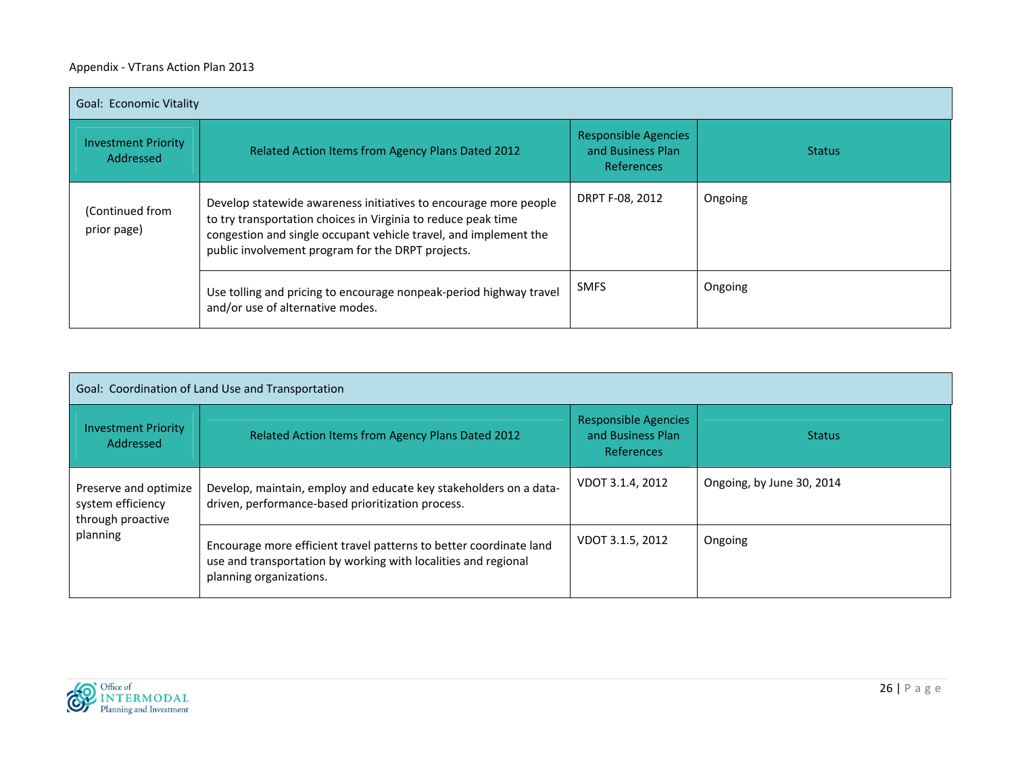| Goal: Economic Vitality                 |                                                                                                                                                                                                                                                            |                                                                |               |  |
|-----------------------------------------|------------------------------------------------------------------------------------------------------------------------------------------------------------------------------------------------------------------------------------------------------------|----------------------------------------------------------------|---------------|--|
| <b>Investment Priority</b><br>Addressed | Related Action Items from Agency Plans Dated 2012                                                                                                                                                                                                          | <b>Responsible Agencies</b><br>and Business Plan<br>References | <b>Status</b> |  |
| (Continued from<br>prior page)          | Develop statewide awareness initiatives to encourage more people<br>to try transportation choices in Virginia to reduce peak time<br>congestion and single occupant vehicle travel, and implement the<br>public involvement program for the DRPT projects. | DRPT F-08, 2012                                                | Ongoing       |  |
|                                         | Use tolling and pricing to encourage nonpeak-period highway travel<br>and/or use of alternative modes.                                                                                                                                                     | <b>SMFS</b>                                                    | Ongoing       |  |

| Goal: Coordination of Land Use and Transportation               |                                                                                                                                                                 |                                                                |                           |  |
|-----------------------------------------------------------------|-----------------------------------------------------------------------------------------------------------------------------------------------------------------|----------------------------------------------------------------|---------------------------|--|
| <b>Investment Priority</b><br>Addressed                         | Related Action Items from Agency Plans Dated 2012                                                                                                               | <b>Responsible Agencies</b><br>and Business Plan<br>References | <b>Status</b>             |  |
| Preserve and optimize<br>system efficiency<br>through proactive | Develop, maintain, employ and educate key stakeholders on a data-<br>driven, performance-based prioritization process.                                          | VDOT 3.1.4, 2012                                               | Ongoing, by June 30, 2014 |  |
| planning                                                        | Encourage more efficient travel patterns to better coordinate land<br>use and transportation by working with localities and regional<br>planning organizations. | VDOT 3.1.5, 2012                                               | Ongoing                   |  |

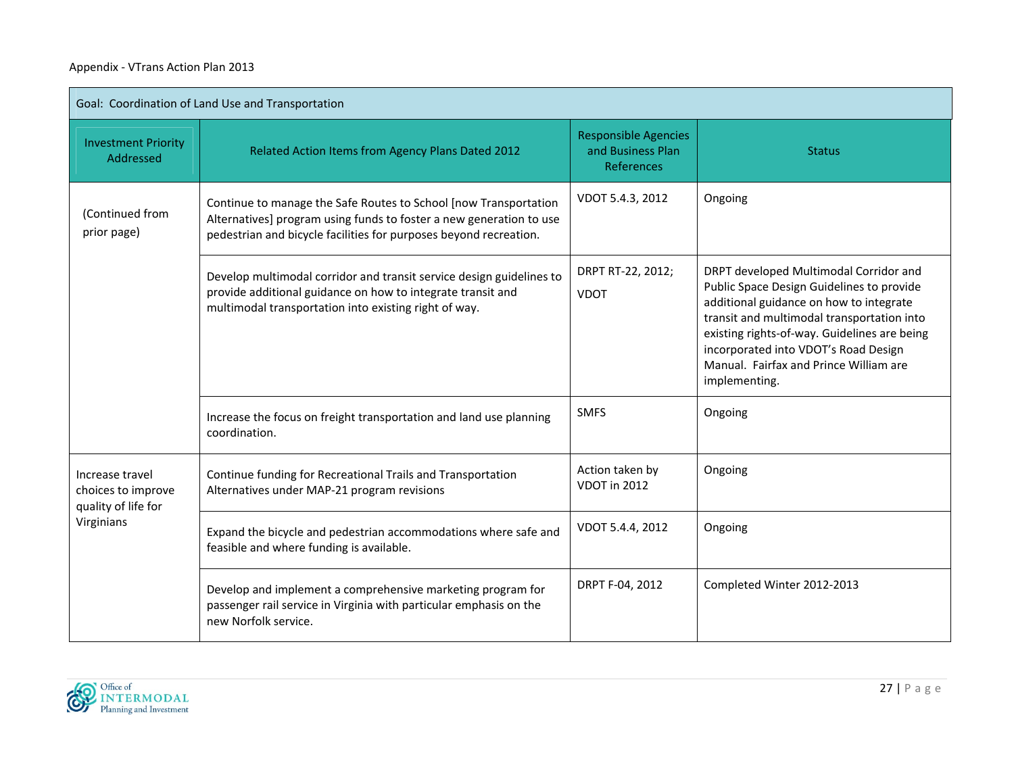| Goal: Coordination of Land Use and Transportation            |                                                                                                                                                                                                              |                                                                       |                                                                                                                                                                                                                                                                                                                                 |  |
|--------------------------------------------------------------|--------------------------------------------------------------------------------------------------------------------------------------------------------------------------------------------------------------|-----------------------------------------------------------------------|---------------------------------------------------------------------------------------------------------------------------------------------------------------------------------------------------------------------------------------------------------------------------------------------------------------------------------|--|
| <b>Investment Priority</b><br>Addressed                      | Related Action Items from Agency Plans Dated 2012                                                                                                                                                            | <b>Responsible Agencies</b><br>and Business Plan<br><b>References</b> | <b>Status</b>                                                                                                                                                                                                                                                                                                                   |  |
| (Continued from<br>prior page)                               | Continue to manage the Safe Routes to School [now Transportation<br>Alternatives] program using funds to foster a new generation to use<br>pedestrian and bicycle facilities for purposes beyond recreation. | VDOT 5.4.3, 2012                                                      | Ongoing                                                                                                                                                                                                                                                                                                                         |  |
|                                                              | Develop multimodal corridor and transit service design guidelines to<br>provide additional guidance on how to integrate transit and<br>multimodal transportation into existing right of way.                 | DRPT RT-22, 2012;<br><b>VDOT</b>                                      | DRPT developed Multimodal Corridor and<br>Public Space Design Guidelines to provide<br>additional guidance on how to integrate<br>transit and multimodal transportation into<br>existing rights-of-way. Guidelines are being<br>incorporated into VDOT's Road Design<br>Manual. Fairfax and Prince William are<br>implementing. |  |
|                                                              | Increase the focus on freight transportation and land use planning<br>coordination.                                                                                                                          | <b>SMFS</b>                                                           | Ongoing                                                                                                                                                                                                                                                                                                                         |  |
| Increase travel<br>choices to improve<br>quality of life for | Continue funding for Recreational Trails and Transportation<br>Alternatives under MAP-21 program revisions                                                                                                   | Action taken by<br>VDOT in 2012                                       | Ongoing                                                                                                                                                                                                                                                                                                                         |  |
| Virginians                                                   | Expand the bicycle and pedestrian accommodations where safe and<br>feasible and where funding is available.                                                                                                  | VDOT 5.4.4, 2012                                                      | Ongoing                                                                                                                                                                                                                                                                                                                         |  |
|                                                              | Develop and implement a comprehensive marketing program for<br>passenger rail service in Virginia with particular emphasis on the<br>new Norfolk service.                                                    | DRPT F-04, 2012                                                       | Completed Winter 2012-2013                                                                                                                                                                                                                                                                                                      |  |

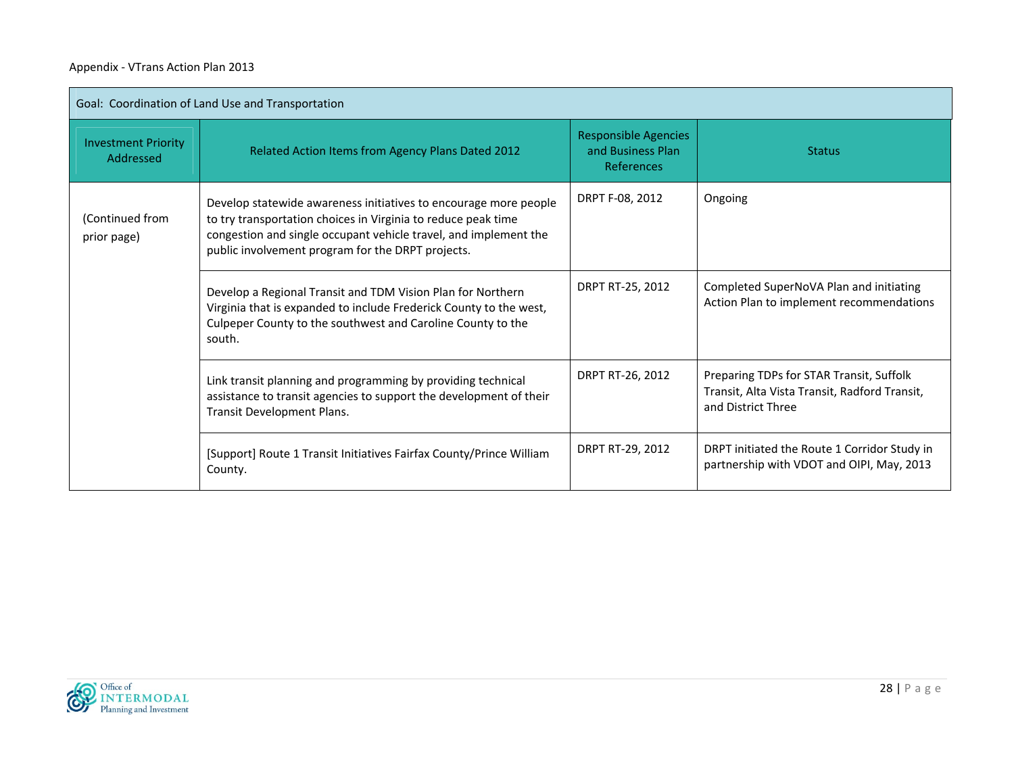| Goal: Coordination of Land Use and Transportation |                                                                                                                                                                                                                                                            |                                                                |                                                                                                                 |  |
|---------------------------------------------------|------------------------------------------------------------------------------------------------------------------------------------------------------------------------------------------------------------------------------------------------------------|----------------------------------------------------------------|-----------------------------------------------------------------------------------------------------------------|--|
| <b>Investment Priority</b><br>Addressed           | Related Action Items from Agency Plans Dated 2012                                                                                                                                                                                                          | <b>Responsible Agencies</b><br>and Business Plan<br>References | <b>Status</b>                                                                                                   |  |
| (Continued from<br>prior page)                    | Develop statewide awareness initiatives to encourage more people<br>to try transportation choices in Virginia to reduce peak time<br>congestion and single occupant vehicle travel, and implement the<br>public involvement program for the DRPT projects. | DRPT F-08, 2012                                                | Ongoing                                                                                                         |  |
|                                                   | Develop a Regional Transit and TDM Vision Plan for Northern<br>Virginia that is expanded to include Frederick County to the west,<br>Culpeper County to the southwest and Caroline County to the<br>south.                                                 | DRPT RT-25, 2012                                               | Completed SuperNoVA Plan and initiating<br>Action Plan to implement recommendations                             |  |
|                                                   | Link transit planning and programming by providing technical<br>assistance to transit agencies to support the development of their<br>Transit Development Plans.                                                                                           | DRPT RT-26, 2012                                               | Preparing TDPs for STAR Transit, Suffolk<br>Transit, Alta Vista Transit, Radford Transit,<br>and District Three |  |
|                                                   | [Support] Route 1 Transit Initiatives Fairfax County/Prince William<br>County.                                                                                                                                                                             | DRPT RT-29, 2012                                               | DRPT initiated the Route 1 Corridor Study in<br>partnership with VDOT and OIPI, May, 2013                       |  |

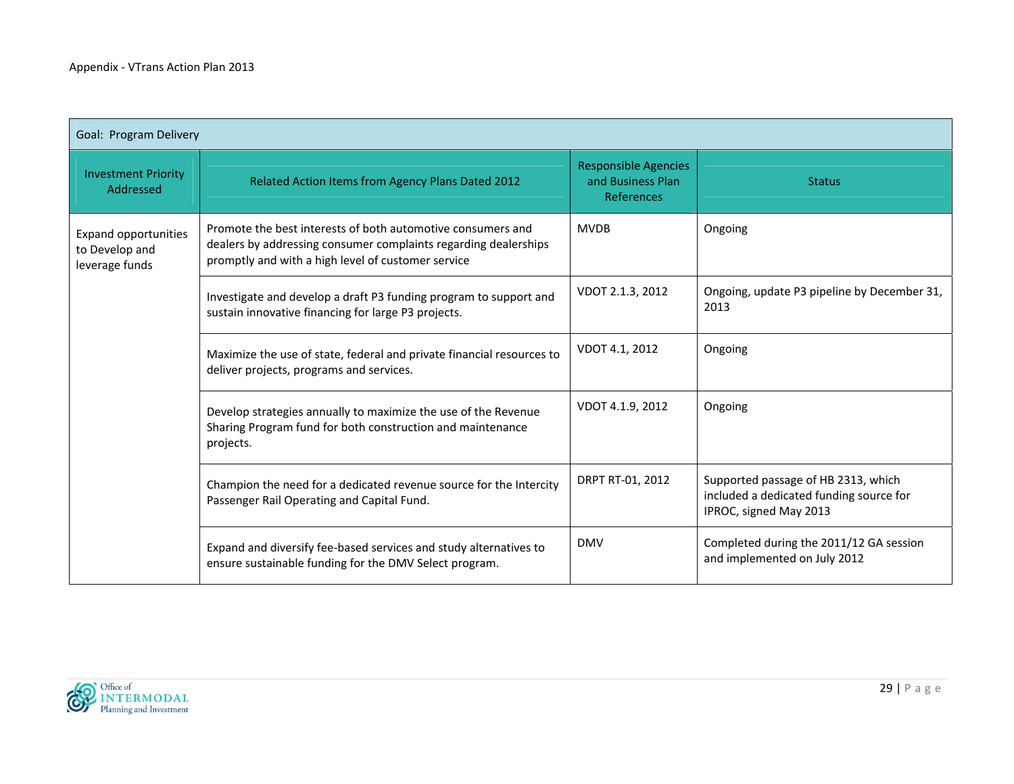| Goal: Program Delivery                                          |                                                                                                                                                                                      |                                                                |                                                                                                          |  |
|-----------------------------------------------------------------|--------------------------------------------------------------------------------------------------------------------------------------------------------------------------------------|----------------------------------------------------------------|----------------------------------------------------------------------------------------------------------|--|
| <b>Investment Priority</b><br>Addressed                         | Related Action Items from Agency Plans Dated 2012                                                                                                                                    | <b>Responsible Agencies</b><br>and Business Plan<br>References | <b>Status</b>                                                                                            |  |
| <b>Expand opportunities</b><br>to Develop and<br>leverage funds | Promote the best interests of both automotive consumers and<br>dealers by addressing consumer complaints regarding dealerships<br>promptly and with a high level of customer service | <b>MVDB</b>                                                    | Ongoing                                                                                                  |  |
|                                                                 | Investigate and develop a draft P3 funding program to support and<br>sustain innovative financing for large P3 projects.                                                             | VDOT 2.1.3, 2012                                               | Ongoing, update P3 pipeline by December 31,<br>2013                                                      |  |
|                                                                 | Maximize the use of state, federal and private financial resources to<br>deliver projects, programs and services.                                                                    | VDOT 4.1, 2012                                                 | Ongoing                                                                                                  |  |
|                                                                 | Develop strategies annually to maximize the use of the Revenue<br>Sharing Program fund for both construction and maintenance<br>projects.                                            | VDOT 4.1.9, 2012                                               | Ongoing                                                                                                  |  |
|                                                                 | Champion the need for a dedicated revenue source for the Intercity<br>Passenger Rail Operating and Capital Fund.                                                                     | DRPT RT-01, 2012                                               | Supported passage of HB 2313, which<br>included a dedicated funding source for<br>IPROC, signed May 2013 |  |
|                                                                 | Expand and diversify fee-based services and study alternatives to<br>ensure sustainable funding for the DMV Select program.                                                          | <b>DMV</b>                                                     | Completed during the 2011/12 GA session<br>and implemented on July 2012                                  |  |

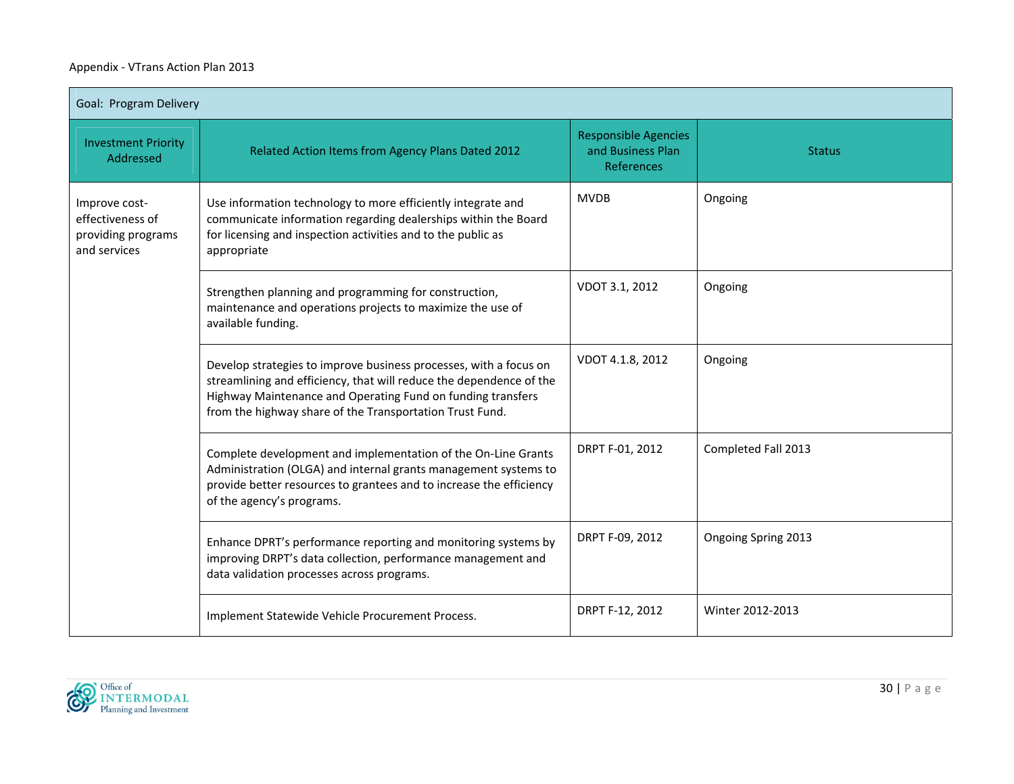| Goal: Program Delivery                                                  |                                                                                                                                                                                                                                                                     |                                                                |                     |  |
|-------------------------------------------------------------------------|---------------------------------------------------------------------------------------------------------------------------------------------------------------------------------------------------------------------------------------------------------------------|----------------------------------------------------------------|---------------------|--|
| <b>Investment Priority</b><br>Addressed                                 | Related Action Items from Agency Plans Dated 2012                                                                                                                                                                                                                   | <b>Responsible Agencies</b><br>and Business Plan<br>References | <b>Status</b>       |  |
| Improve cost-<br>effectiveness of<br>providing programs<br>and services | Use information technology to more efficiently integrate and<br>communicate information regarding dealerships within the Board<br>for licensing and inspection activities and to the public as<br>appropriate                                                       | <b>MVDB</b>                                                    | Ongoing             |  |
|                                                                         | Strengthen planning and programming for construction,<br>maintenance and operations projects to maximize the use of<br>available funding.                                                                                                                           | VDOT 3.1, 2012                                                 | Ongoing             |  |
|                                                                         | Develop strategies to improve business processes, with a focus on<br>streamlining and efficiency, that will reduce the dependence of the<br>Highway Maintenance and Operating Fund on funding transfers<br>from the highway share of the Transportation Trust Fund. | VDOT 4.1.8, 2012                                               | Ongoing             |  |
|                                                                         | Complete development and implementation of the On-Line Grants<br>Administration (OLGA) and internal grants management systems to<br>provide better resources to grantees and to increase the efficiency<br>of the agency's programs.                                | DRPT F-01, 2012                                                | Completed Fall 2013 |  |
|                                                                         | Enhance DPRT's performance reporting and monitoring systems by<br>improving DRPT's data collection, performance management and<br>data validation processes across programs.                                                                                        | DRPT F-09, 2012                                                | Ongoing Spring 2013 |  |
|                                                                         | Implement Statewide Vehicle Procurement Process.                                                                                                                                                                                                                    | DRPT F-12, 2012                                                | Winter 2012-2013    |  |